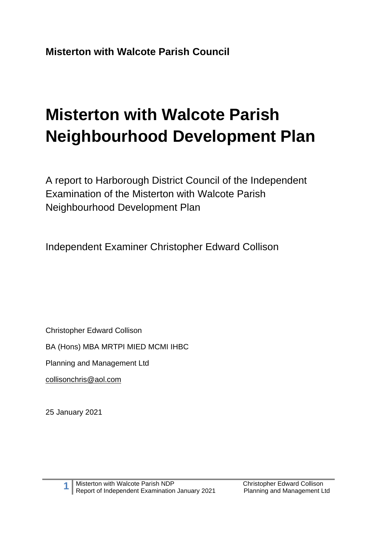# **Misterton with Walcote Parish Neighbourhood Development Plan**

A report to Harborough District Council of the Independent Examination of the Misterton with Walcote Parish Neighbourhood Development Plan

Independent Examiner Christopher Edward Collison

Christopher Edward Collison

BA (Hons) MBA MRTPI MIED MCMI IHBC

Planning and Management Ltd

[collisonchris@aol.com](mailto:collisonchris@aol.com)

25 January 2021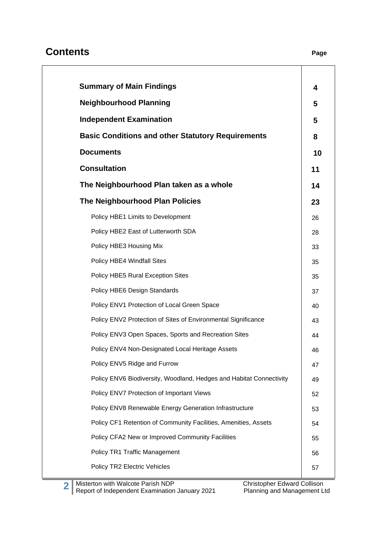# **Contents Page**

| <b>Summary of Main Findings</b>                                     | 4  |
|---------------------------------------------------------------------|----|
| <b>Neighbourhood Planning</b>                                       | 5  |
| <b>Independent Examination</b>                                      | 5  |
| <b>Basic Conditions and other Statutory Requirements</b>            | 8  |
| <b>Documents</b>                                                    | 10 |
| <b>Consultation</b>                                                 | 11 |
| The Neighbourhood Plan taken as a whole                             | 14 |
| <b>The Neighbourhood Plan Policies</b>                              | 23 |
| Policy HBE1 Limits to Development                                   | 26 |
| Policy HBE2 East of Lutterworth SDA                                 | 28 |
| Policy HBE3 Housing Mix                                             | 33 |
| Policy HBE4 Windfall Sites                                          | 35 |
| Policy HBE5 Rural Exception Sites                                   | 35 |
| Policy HBE6 Design Standards                                        | 37 |
| Policy ENV1 Protection of Local Green Space                         | 40 |
| Policy ENV2 Protection of Sites of Environmental Significance       | 43 |
| Policy ENV3 Open Spaces, Sports and Recreation Sites                | 44 |
| Policy ENV4 Non-Designated Local Heritage Assets                    | 46 |
| Policy ENV5 Ridge and Furrow                                        | 47 |
| Policy ENV6 Biodiversity, Woodland, Hedges and Habitat Connectivity | 49 |
| Policy ENV7 Protection of Important Views                           | 52 |
| Policy ENV8 Renewable Energy Generation Infrastructure              | 53 |
| Policy CF1 Retention of Community Facilities, Amenities, Assets     | 54 |
| Policy CFA2 New or Improved Community Facilities                    | 55 |
| Policy TR1 Traffic Management                                       | 56 |
| Policy TR2 Electric Vehicles                                        | 57 |
|                                                                     |    |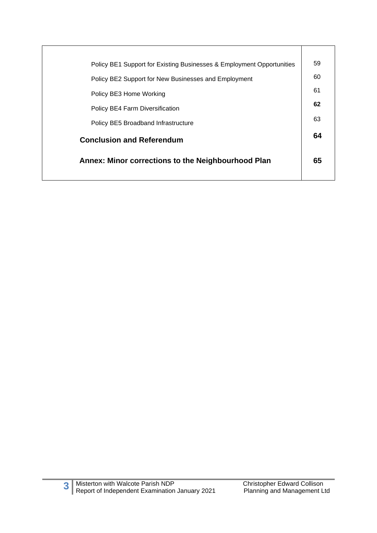| Policy BE1 Support for Existing Businesses & Employment Opportunities | 59 |
|-----------------------------------------------------------------------|----|
| Policy BE2 Support for New Businesses and Employment                  | 60 |
| Policy BE3 Home Working                                               | 61 |
| <b>Policy BE4 Farm Diversification</b>                                | 62 |
| Policy BE5 Broadband Infrastructure                                   | 63 |
| <b>Conclusion and Referendum</b>                                      | 64 |
| Annex: Minor corrections to the Neighbourhood Plan                    | 65 |
|                                                                       |    |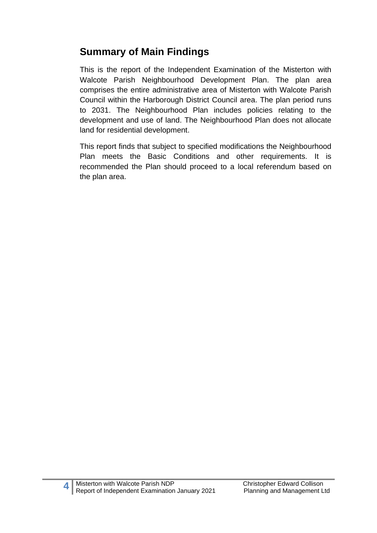# **Summary of Main Findings**

This is the report of the Independent Examination of the Misterton with Walcote Parish Neighbourhood Development Plan. The plan area comprises the entire administrative area of Misterton with Walcote Parish Council within the Harborough District Council area. The plan period runs to 2031. The Neighbourhood Plan includes policies relating to the development and use of land. The Neighbourhood Plan does not allocate land for residential development.

This report finds that subject to specified modifications the Neighbourhood Plan meets the Basic Conditions and other requirements. It is recommended the Plan should proceed to a local referendum based on the plan area.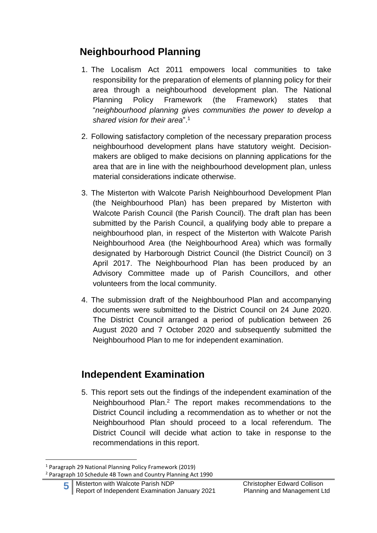# **Neighbourhood Planning**

- 1. The Localism Act 2011 empowers local communities to take responsibility for the preparation of elements of planning policy for their area through a neighbourhood development plan. The National Planning Policy Framework (the Framework) states that "*neighbourhood planning gives communities the power to develop a shared vision for their area*". 1
- 2. Following satisfactory completion of the necessary preparation process neighbourhood development plans have statutory weight. Decisionmakers are obliged to make decisions on planning applications for the area that are in line with the neighbourhood development plan, unless material considerations indicate otherwise.
- 3. The Misterton with Walcote Parish Neighbourhood Development Plan (the Neighbourhood Plan) has been prepared by Misterton with Walcote Parish Council (the Parish Council). The draft plan has been submitted by the Parish Council, a qualifying body able to prepare a neighbourhood plan, in respect of the Misterton with Walcote Parish Neighbourhood Area (the Neighbourhood Area) which was formally designated by Harborough District Council (the District Council) on 3 April 2017. The Neighbourhood Plan has been produced by an Advisory Committee made up of Parish Councillors, and other volunteers from the local community.
- 4. The submission draft of the Neighbourhood Plan and accompanying documents were submitted to the District Council on 24 June 2020. The District Council arranged a period of publication between 26 August 2020 and 7 October 2020 and subsequently submitted the Neighbourhood Plan to me for independent examination.

# **Independent Examination**

5. This report sets out the findings of the independent examination of the Neighbourhood Plan. <sup>2</sup> The report makes recommendations to the District Council including a recommendation as to whether or not the Neighbourhood Plan should proceed to a local referendum. The District Council will decide what action to take in response to the recommendations in this report.

<sup>1</sup> Paragraph 29 National Planning Policy Framework (2019)

<sup>2</sup> Paragraph 10 Schedule 4B Town and Country Planning Act 1990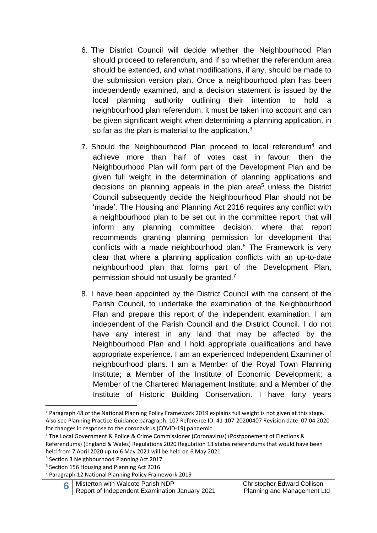- 6. The District Council will decide whether the Neighbourhood Plan should proceed to referendum, and if so whether the referendum area should be extended, and what modifications, if any, should be made to the submission version plan. Once a neighbourhood plan has been independently examined, and a decision statement is issued by the local planning authority outlining their intention to hold a neighbourhood plan referendum, it must be taken into account and can be given significant weight when determining a planning application, in so far as the plan is material to the application. $3$
- 7. Should the Neighbourhood Plan proceed to local referendum<sup>4</sup> and achieve more than half of votes cast in favour, then the Neighbourhood Plan will form part of the Development Plan and be given full weight in the determination of planning applications and decisions on planning appeals in the plan area <sup>5</sup> unless the District Council subsequently decide the Neighbourhood Plan should not be 'made'. The Housing and Planning Act 2016 requires any conflict with a neighbourhood plan to be set out in the committee report, that will inform any planning committee decision, where that report recommends granting planning permission for development that conflicts with a made neighbourhood plan. <sup>6</sup> The Framework is very clear that where a planning application conflicts with an up-to-date neighbourhood plan that forms part of the Development Plan, permission should not usually be granted.<sup>7</sup>
- 8. I have been appointed by the District Council with the consent of the Parish Council, to undertake the examination of the Neighbourhood Plan and prepare this report of the independent examination. I am independent of the Parish Council and the District Council. I do not have any interest in any land that may be affected by the Neighbourhood Plan and I hold appropriate qualifications and have appropriate experience. I am an experienced Independent Examiner of neighbourhood plans. I am a Member of the Royal Town Planning Institute; a Member of the Institute of Economic Development; a Member of the Chartered Management Institute; and a Member of the Institute of Historic Building Conservation. I have forty years

<sup>&</sup>lt;sup>3</sup> Paragraph 48 of the National Planning Policy Framework 2019 explains full weight is not given at this stage. Also see Planning Practice Guidance paragraph: 107 Reference ID: 41-107-20200407 Revision date: 07 04 2020 for changes in response to the coronavirus (COVID-19) pandemic

<sup>4</sup> The Local Government & Police & Crime Commissioner (Coronavirus) (Postponement of Elections & Referendums) (England & Wales) Regulations 2020 Regulation 13 states referendums that would have been held from 7 April 2020 up to 6 May 2021 will be held on 6 May 2021

<sup>5</sup> Section 3 Neighbourhood Planning Act 2017

<sup>6</sup> Section 156 Housing and Planning Act 2016

<sup>7</sup> Paragraph 12 National Planning Policy Framework 2019

**<sup>6</sup>** Misterton with Walcote Parish NDP Christopher Edward Collison Report of Independent Examination January 2021 Planning and Management Ltd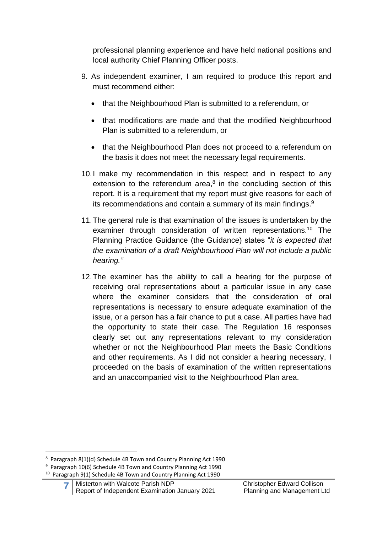professional planning experience and have held national positions and local authority Chief Planning Officer posts.

- 9. As independent examiner, I am required to produce this report and must recommend either:
	- that the Neighbourhood Plan is submitted to a referendum, or
	- that modifications are made and that the modified Neighbourhood Plan is submitted to a referendum, or
	- that the Neighbourhood Plan does not proceed to a referendum on the basis it does not meet the necessary legal requirements.
- 10.I make my recommendation in this respect and in respect to any extension to the referendum area,<sup>8</sup> in the concluding section of this report. It is a requirement that my report must give reasons for each of its recommendations and contain a summary of its main findings.<sup>9</sup>
- 11.The general rule is that examination of the issues is undertaken by the examiner through consideration of written representations.<sup>10</sup> The Planning Practice Guidance (the Guidance) states "*it is expected that the examination of a draft Neighbourhood Plan will not include a public hearing."*
- 12.The examiner has the ability to call a hearing for the purpose of receiving oral representations about a particular issue in any case where the examiner considers that the consideration of oral representations is necessary to ensure adequate examination of the issue, or a person has a fair chance to put a case. All parties have had the opportunity to state their case. The Regulation 16 responses clearly set out any representations relevant to my consideration whether or not the Neighbourhood Plan meets the Basic Conditions and other requirements. As I did not consider a hearing necessary, I proceeded on the basis of examination of the written representations and an unaccompanied visit to the Neighbourhood Plan area.

<sup>8</sup> Paragraph 8(1)(d) Schedule 4B Town and Country Planning Act 1990

<sup>&</sup>lt;sup>9</sup> Paragraph 10(6) Schedule 4B Town and Country Planning Act 1990 <sup>10</sup> Paragraph 9(1) Schedule 4B Town and Country Planning Act 1990

**<sup>7</sup>** Misterton with Walcote Parish NDP Christopher Edward Collison Report of Independent Examination January 2021 Planning and Management Ltd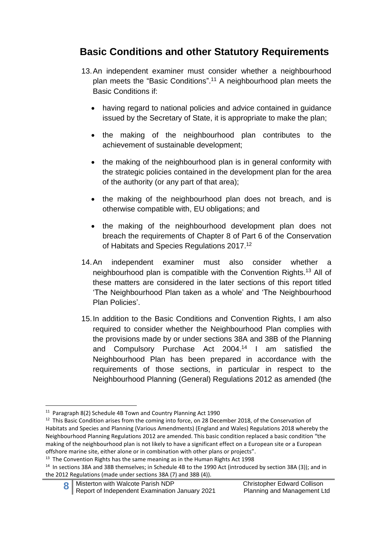# **Basic Conditions and other Statutory Requirements**

- 13.An independent examiner must consider whether a neighbourhood plan meets the "Basic Conditions". <sup>11</sup> A neighbourhood plan meets the Basic Conditions if:
	- having regard to national policies and advice contained in guidance issued by the Secretary of State, it is appropriate to make the plan;
	- the making of the neighbourhood plan contributes to the achievement of sustainable development;
	- the making of the neighbourhood plan is in general conformity with the strategic policies contained in the development plan for the area of the authority (or any part of that area);
	- the making of the neighbourhood plan does not breach, and is otherwise compatible with, EU obligations; and
	- the making of the neighbourhood development plan does not breach the requirements of Chapter 8 of Part 6 of the Conservation of Habitats and Species Regulations 2017.<sup>12</sup>
- 14.An independent examiner must also consider whether a neighbourhood plan is compatible with the Convention Rights. <sup>13</sup> All of these matters are considered in the later sections of this report titled 'The Neighbourhood Plan taken as a whole' and 'The Neighbourhood Plan Policies'.
- 15.In addition to the Basic Conditions and Convention Rights, I am also required to consider whether the Neighbourhood Plan complies with the provisions made by or under sections 38A and 38B of the Planning and Compulsory Purchase Act 2004. <sup>14</sup> I am satisfied the Neighbourhood Plan has been prepared in accordance with the requirements of those sections, in particular in respect to the Neighbourhood Planning (General) Regulations 2012 as amended (the

<sup>11</sup> Paragraph 8(2) Schedule 4B Town and Country Planning Act 1990

<sup>&</sup>lt;sup>12</sup> This Basic Condition arises from the coming into force, on 28 December 2018, of the Conservation of Habitats and Species and Planning (Various Amendments) (England and Wales) Regulations 2018 whereby the Neighbourhood Planning Regulations 2012 are amended. This basic condition replaced a basic condition "the making of the neighbourhood plan is not likely to have a significant effect on a European site or a European offshore marine site, either alone or in combination with other plans or projects".

<sup>&</sup>lt;sup>13</sup> The Convention Rights has the same meaning as in the Human Rights Act 1998

<sup>&</sup>lt;sup>14</sup> In sections 38A and 38B themselves; in Schedule 4B to the 1990 Act (introduced by section 38A (3)); and in the 2012 Regulations (made under sections 38A (7) and 38B (4)).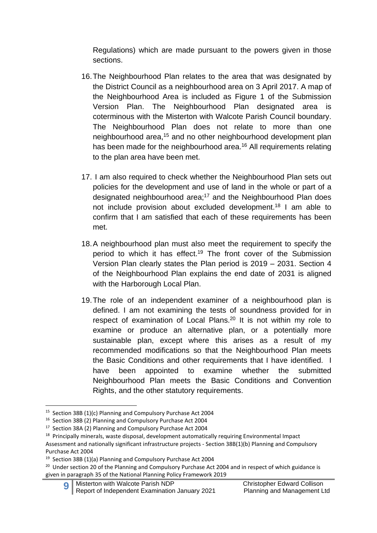Regulations) which are made pursuant to the powers given in those sections.

- 16.The Neighbourhood Plan relates to the area that was designated by the District Council as a neighbourhood area on 3 April 2017. A map of the Neighbourhood Area is included as Figure 1 of the Submission Version Plan. The Neighbourhood Plan designated area is coterminous with the Misterton with Walcote Parish Council boundary. The Neighbourhood Plan does not relate to more than one neighbourhood area,<sup>15</sup> and no other neighbourhood development plan has been made for the neighbourhood area.<sup>16</sup> All requirements relating to the plan area have been met.
- 17. I am also required to check whether the Neighbourhood Plan sets out policies for the development and use of land in the whole or part of a designated neighbourhood area;<sup>17</sup> and the Neighbourhood Plan does not include provision about excluded development. <sup>18</sup> I am able to confirm that I am satisfied that each of these requirements has been met.
- 18.A neighbourhood plan must also meet the requirement to specify the period to which it has effect.<sup>19</sup> The front cover of the Submission Version Plan clearly states the Plan period is 2019 – 2031. Section 4 of the Neighbourhood Plan explains the end date of 2031 is aligned with the Harborough Local Plan.
- 19.The role of an independent examiner of a neighbourhood plan is defined. I am not examining the tests of soundness provided for in respect of examination of Local Plans.<sup>20</sup> It is not within my role to examine or produce an alternative plan, or a potentially more sustainable plan, except where this arises as a result of my recommended modifications so that the Neighbourhood Plan meets the Basic Conditions and other requirements that I have identified. I have been appointed to examine whether the submitted Neighbourhood Plan meets the Basic Conditions and Convention Rights, and the other statutory requirements.

<sup>&</sup>lt;sup>15</sup> Section 38B (1)(c) Planning and Compulsory Purchase Act 2004

<sup>16</sup> Section 38B (2) Planning and Compulsory Purchase Act 2004

<sup>&</sup>lt;sup>17</sup> Section 38A (2) Planning and Compulsory Purchase Act 2004

<sup>&</sup>lt;sup>18</sup> Principally minerals, waste disposal, development automatically requiring Environmental Impact Assessment and nationally significant infrastructure projects - Section 38B(1)(b) Planning and Compulsory Purchase Act 2004

<sup>&</sup>lt;sup>19</sup> Section 38B (1)(a) Planning and Compulsory Purchase Act 2004

<sup>&</sup>lt;sup>20</sup> Under section 20 of the Planning and Compulsory Purchase Act 2004 and in respect of which guidance is given in paragraph 35 of the National Planning Policy Framework 2019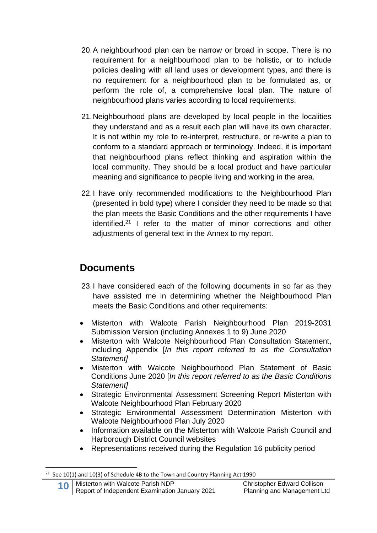- 20.A neighbourhood plan can be narrow or broad in scope. There is no requirement for a neighbourhood plan to be holistic, or to include policies dealing with all land uses or development types, and there is no requirement for a neighbourhood plan to be formulated as, or perform the role of, a comprehensive local plan. The nature of neighbourhood plans varies according to local requirements.
- 21.Neighbourhood plans are developed by local people in the localities they understand and as a result each plan will have its own character. It is not within my role to re-interpret, restructure, or re-write a plan to conform to a standard approach or terminology. Indeed, it is important that neighbourhood plans reflect thinking and aspiration within the local community. They should be a local product and have particular meaning and significance to people living and working in the area.
- 22.I have only recommended modifications to the Neighbourhood Plan (presented in bold type) where I consider they need to be made so that the plan meets the Basic Conditions and the other requirements I have identified.<sup>21</sup> I refer to the matter of minor corrections and other adjustments of general text in the Annex to my report.

# **Documents**

- 23.I have considered each of the following documents in so far as they have assisted me in determining whether the Neighbourhood Plan meets the Basic Conditions and other requirements:
- Misterton with Walcote Parish Neighbourhood Plan 2019-2031 Submission Version (including Annexes 1 to 9) June 2020
- Misterton with Walcote Neighbourhood Plan Consultation Statement, including Appendix [*In this report referred to as the Consultation Statement]*
- Misterton with Walcote Neighbourhood Plan Statement of Basic Conditions June 2020 [*In this report referred to as the Basic Conditions Statement]*
- Strategic Environmental Assessment Screening Report Misterton with Walcote Neighbourhood Plan February 2020
- Strategic Environmental Assessment Determination Misterton with Walcote Neighbourhood Plan July 2020
- Information available on the Misterton with Walcote Parish Council and Harborough District Council websites
- Representations received during the Regulation 16 publicity period

 $21$  See 10(1) and 10(3) of Schedule 4B to the Town and Country Planning Act 1990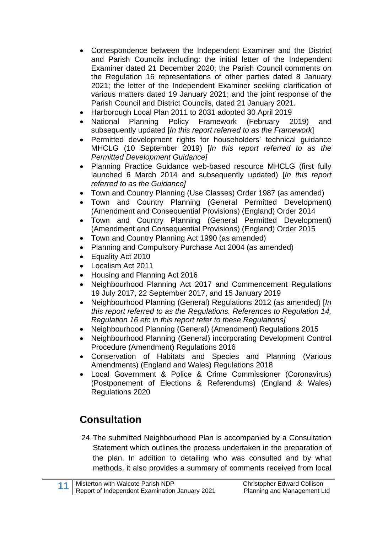- Correspondence between the Independent Examiner and the District and Parish Councils including: the initial letter of the Independent Examiner dated 21 December 2020; the Parish Council comments on the Regulation 16 representations of other parties dated 8 January 2021; the letter of the Independent Examiner seeking clarification of various matters dated 19 January 2021; and the joint response of the Parish Council and District Councils, dated 21 January 2021.
- Harborough Local Plan 2011 to 2031 adopted 30 April 2019
- National Planning Policy Framework (February 2019) and subsequently updated [*In this report referred to as the Framework*]
- Permitted development rights for householders' technical guidance MHCLG (10 September 2019) [*In this report referred to as the Permitted Development Guidance]*
- Planning Practice Guidance web-based resource MHCLG (first fully launched 6 March 2014 and subsequently updated) [*In this report referred to as the Guidance]*
- Town and Country Planning (Use Classes) Order 1987 (as amended)
- Town and Country Planning (General Permitted Development) (Amendment and Consequential Provisions) (England) Order 2014
- Town and Country Planning (General Permitted Development) (Amendment and Consequential Provisions) (England) Order 2015
- Town and Country Planning Act 1990 (as amended)
- Planning and Compulsory Purchase Act 2004 (as amended)
- Equality Act 2010
- Localism Act 2011
- Housing and Planning Act 2016
- Neighbourhood Planning Act 2017 and Commencement Regulations 19 July 2017, 22 September 2017, and 15 January 2019
- Neighbourhood Planning (General) Regulations 2012 (as amended) [*In this report referred to as the Regulations. References to Regulation 14, Regulation 16 etc in this report refer to these Regulations]*
- Neighbourhood Planning (General) (Amendment) Regulations 2015
- Neighbourhood Planning (General) incorporating Development Control Procedure (Amendment) Regulations 2016
- Conservation of Habitats and Species and Planning (Various Amendments) (England and Wales) Regulations 2018
- Local Government & Police & Crime Commissioner (Coronavirus) (Postponement of Elections & Referendums) (England & Wales) Regulations 2020

# **Consultation**

24.The submitted Neighbourhood Plan is accompanied by a Consultation Statement which outlines the process undertaken in the preparation of the plan. In addition to detailing who was consulted and by what methods, it also provides a summary of comments received from local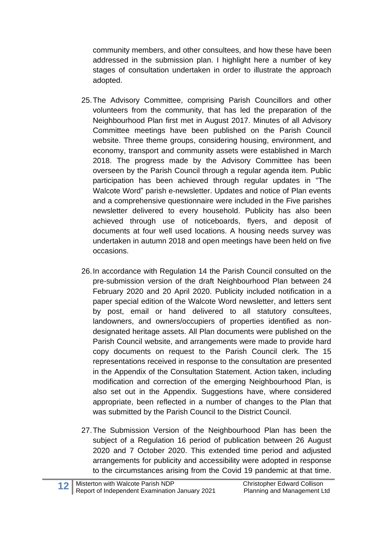community members, and other consultees, and how these have been addressed in the submission plan. I highlight here a number of key stages of consultation undertaken in order to illustrate the approach adopted.

- 25.The Advisory Committee, comprising Parish Councillors and other volunteers from the community, that has led the preparation of the Neighbourhood Plan first met in August 2017. Minutes of all Advisory Committee meetings have been published on the Parish Council website. Three theme groups, considering housing, environment, and economy, transport and community assets were established in March 2018. The progress made by the Advisory Committee has been overseen by the Parish Council through a regular agenda item. Public participation has been achieved through regular updates in "The Walcote Word" parish e-newsletter. Updates and notice of Plan events and a comprehensive questionnaire were included in the Five parishes newsletter delivered to every household. Publicity has also been achieved through use of noticeboards, flyers, and deposit of documents at four well used locations. A housing needs survey was undertaken in autumn 2018 and open meetings have been held on five occasions.
- 26.In accordance with Regulation 14 the Parish Council consulted on the pre-submission version of the draft Neighbourhood Plan between 24 February 2020 and 20 April 2020. Publicity included notification in a paper special edition of the Walcote Word newsletter, and letters sent by post, email or hand delivered to all statutory consultees, landowners, and owners/occupiers of properties identified as nondesignated heritage assets. All Plan documents were published on the Parish Council website, and arrangements were made to provide hard copy documents on request to the Parish Council clerk. The 15 representations received in response to the consultation are presented in the Appendix of the Consultation Statement. Action taken, including modification and correction of the emerging Neighbourhood Plan, is also set out in the Appendix. Suggestions have, where considered appropriate, been reflected in a number of changes to the Plan that was submitted by the Parish Council to the District Council.
- 27.The Submission Version of the Neighbourhood Plan has been the subject of a Regulation 16 period of publication between 26 August 2020 and 7 October 2020. This extended time period and adjusted arrangements for publicity and accessibility were adopted in response to the circumstances arising from the Covid 19 pandemic at that time.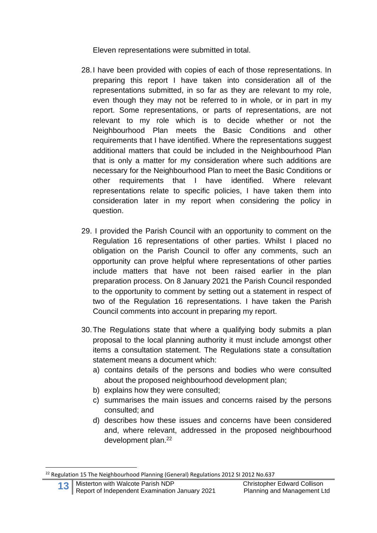Eleven representations were submitted in total.

- 28.I have been provided with copies of each of those representations. In preparing this report I have taken into consideration all of the representations submitted, in so far as they are relevant to my role, even though they may not be referred to in whole, or in part in my report. Some representations, or parts of representations, are not relevant to my role which is to decide whether or not the Neighbourhood Plan meets the Basic Conditions and other requirements that I have identified. Where the representations suggest additional matters that could be included in the Neighbourhood Plan that is only a matter for my consideration where such additions are necessary for the Neighbourhood Plan to meet the Basic Conditions or other requirements that I have identified. Where relevant representations relate to specific policies, I have taken them into consideration later in my report when considering the policy in question.
- 29. I provided the Parish Council with an opportunity to comment on the Regulation 16 representations of other parties. Whilst I placed no obligation on the Parish Council to offer any comments, such an opportunity can prove helpful where representations of other parties include matters that have not been raised earlier in the plan preparation process. On 8 January 2021 the Parish Council responded to the opportunity to comment by setting out a statement in respect of two of the Regulation 16 representations. I have taken the Parish Council comments into account in preparing my report.
- 30.The Regulations state that where a qualifying body submits a plan proposal to the local planning authority it must include amongst other items a consultation statement. The Regulations state a consultation statement means a document which:
	- a) contains details of the persons and bodies who were consulted about the proposed neighbourhood development plan;
	- b) explains how they were consulted;
	- c) summarises the main issues and concerns raised by the persons consulted; and
	- d) describes how these issues and concerns have been considered and, where relevant, addressed in the proposed neighbourhood development plan. 22

<sup>&</sup>lt;sup>22</sup> Regulation 15 The Neighbourhood Planning (General) Regulations 2012 SI 2012 No.637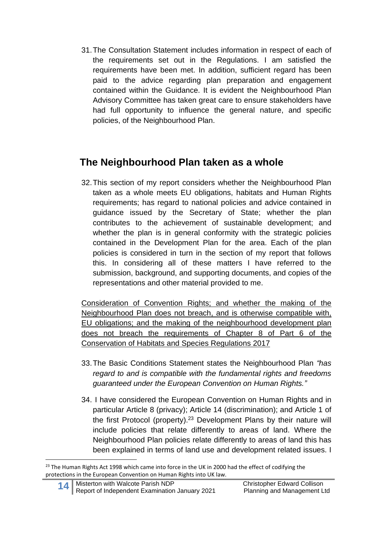31.The Consultation Statement includes information in respect of each of the requirements set out in the Regulations. I am satisfied the requirements have been met. In addition, sufficient regard has been paid to the advice regarding plan preparation and engagement contained within the Guidance. It is evident the Neighbourhood Plan Advisory Committee has taken great care to ensure stakeholders have had full opportunity to influence the general nature, and specific policies, of the Neighbourhood Plan.

# **The Neighbourhood Plan taken as a whole**

32.This section of my report considers whether the Neighbourhood Plan taken as a whole meets EU obligations, habitats and Human Rights requirements; has regard to national policies and advice contained in guidance issued by the Secretary of State; whether the plan contributes to the achievement of sustainable development; and whether the plan is in general conformity with the strategic policies contained in the Development Plan for the area. Each of the plan policies is considered in turn in the section of my report that follows this. In considering all of these matters I have referred to the submission, background, and supporting documents, and copies of the representations and other material provided to me.

Consideration of Convention Rights; and whether the making of the Neighbourhood Plan does not breach, and is otherwise compatible with, EU obligations; and the making of the neighbourhood development plan does not breach the requirements of Chapter 8 of Part 6 of the Conservation of Habitats and Species Regulations 2017

- 33.The Basic Conditions Statement states the Neighbourhood Plan *"has regard to and is compatible with the fundamental rights and freedoms guaranteed under the European Convention on Human Rights."*
- 34. I have considered the European Convention on Human Rights and in particular Article 8 (privacy); Article 14 (discrimination); and Article 1 of the first Protocol (property). <sup>23</sup> Development Plans by their nature will include policies that relate differently to areas of land. Where the Neighbourhood Plan policies relate differently to areas of land this has been explained in terms of land use and development related issues. I

<sup>&</sup>lt;sup>23</sup> The Human Rights Act 1998 which came into force in the UK in 2000 had the effect of codifying the protections in the European Convention on Human Rights into UK law.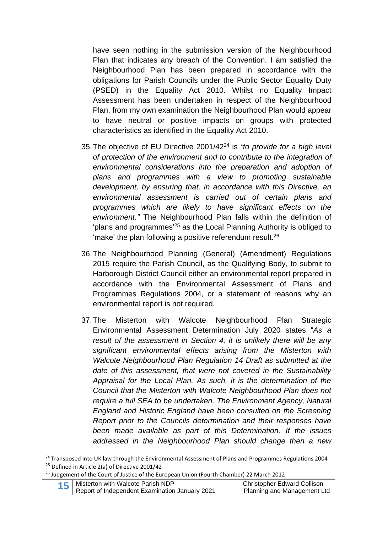have seen nothing in the submission version of the Neighbourhood Plan that indicates any breach of the Convention. I am satisfied the Neighbourhood Plan has been prepared in accordance with the obligations for Parish Councils under the Public Sector Equality Duty (PSED) in the Equality Act 2010. Whilst no Equality Impact Assessment has been undertaken in respect of the Neighbourhood Plan, from my own examination the Neighbourhood Plan would appear to have neutral or positive impacts on groups with protected characteristics as identified in the Equality Act 2010.

- 35.The objective of EU Directive 2001/42<sup>24</sup> is *"to provide for a high level of protection of the environment and to contribute to the integration of environmental considerations into the preparation and adoption of plans and programmes with a view to promoting sustainable development, by ensuring that, in accordance with this Directive, an environmental assessment is carried out of certain plans and programmes which are likely to have significant effects on the environment."* The Neighbourhood Plan falls within the definition of 'plans and programmes' <sup>25</sup> as the Local Planning Authority is obliged to 'make' the plan following a positive referendum result.<sup>26</sup>
- 36.The Neighbourhood Planning (General) (Amendment) Regulations 2015 require the Parish Council, as the Qualifying Body, to submit to Harborough District Council either an environmental report prepared in accordance with the Environmental Assessment of Plans and Programmes Regulations 2004, or a statement of reasons why an environmental report is not required.
- 37.The Misterton with Walcote Neighbourhood Plan Strategic Environmental Assessment Determination July 2020 states "*As a result of the assessment in Section 4, it is unlikely there will be any significant environmental effects arising from the Misterton with Walcote Neighbourhood Plan Regulation 14 Draft as submitted at the date of this assessment, that were not covered in the Sustainability Appraisal for the Local Plan. As such, it is the determination of the Council that the Misterton with Walcote Neighbourhood Plan does not require a full SEA to be undertaken. The Environment Agency, Natural England and Historic England have been consulted on the Screening Report prior to the Councils determination and their responses have been made available as part of this Determination. If the issues addressed in the Neighbourhood Plan should change then a new*

<sup>&</sup>lt;sup>24</sup> Transposed into UK law through the Environmental Assessment of Plans and Programmes Regulations 2004 <sup>25</sup> Defined in Article 2(a) of Directive 2001/42

<sup>&</sup>lt;sup>26</sup> Judgement of the Court of Justice of the European Union (Fourth Chamber) 22 March 2012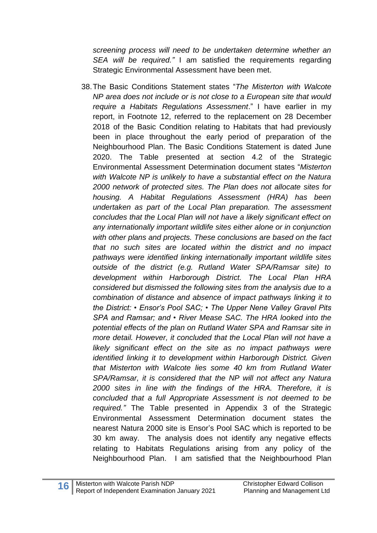*screening process will need to be undertaken determine whether an SEA will be required."* I am satisfied the requirements regarding Strategic Environmental Assessment have been met.

38.The Basic Conditions Statement states "*The Misterton with Walcote NP area does not include or is not close to a European site that would require a Habitats Regulations Assessment*." I have earlier in my report, in Footnote 12, referred to the replacement on 28 December 2018 of the Basic Condition relating to Habitats that had previously been in place throughout the early period of preparation of the Neighbourhood Plan. The Basic Conditions Statement is dated June 2020. The Table presented at section 4.2 of the Strategic Environmental Assessment Determination document states "*Misterton with Walcote NP is unlikely to have a substantial effect on the Natura 2000 network of protected sites. The Plan does not allocate sites for housing. A Habitat Regulations Assessment (HRA) has been undertaken as part of the Local Plan preparation. The assessment concludes that the Local Plan will not have a likely significant effect on any internationally important wildlife sites either alone or in conjunction with other plans and projects. These conclusions are based on the fact that no such sites are located within the district and no impact pathways were identified linking internationally important wildlife sites outside of the district (e.g. Rutland Water SPA/Ramsar site) to development within Harborough District. The Local Plan HRA considered but dismissed the following sites from the analysis due to a combination of distance and absence of impact pathways linking it to the District: • Ensor's Pool SAC; • The Upper Nene Valley Gravel Pits SPA and Ramsar; and • River Mease SAC. The HRA looked into the potential effects of the plan on Rutland Water SPA and Ramsar site in more detail. However, it concluded that the Local Plan will not have a likely significant effect on the site as no impact pathways were identified linking it to development within Harborough District. Given that Misterton with Walcote lies some 40 km from Rutland Water SPA/Ramsar, it is considered that the NP will not affect any Natura 2000 sites in line with the findings of the HRA. Therefore, it is concluded that a full Appropriate Assessment is not deemed to be required."* The Table presented in Appendix 3 of the Strategic Environmental Assessment Determination document states the nearest Natura 2000 site is Ensor's Pool SAC which is reported to be 30 km away. The analysis does not identify any negative effects relating to Habitats Regulations arising from any policy of the Neighbourhood Plan. I am satisfied that the Neighbourhood Plan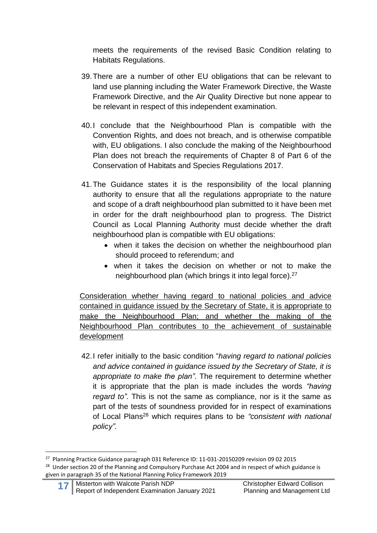meets the requirements of the revised Basic Condition relating to Habitats Regulations.

- 39.There are a number of other EU obligations that can be relevant to land use planning including the Water Framework Directive, the Waste Framework Directive, and the Air Quality Directive but none appear to be relevant in respect of this independent examination.
- 40.I conclude that the Neighbourhood Plan is compatible with the Convention Rights, and does not breach, and is otherwise compatible with, EU obligations. I also conclude the making of the Neighbourhood Plan does not breach the requirements of Chapter 8 of Part 6 of the Conservation of Habitats and Species Regulations 2017.
- 41.The Guidance states it is the responsibility of the local planning authority to ensure that all the regulations appropriate to the nature and scope of a draft neighbourhood plan submitted to it have been met in order for the draft neighbourhood plan to progress. The District Council as Local Planning Authority must decide whether the draft neighbourhood plan is compatible with EU obligations:
	- when it takes the decision on whether the neighbourhood plan should proceed to referendum; and
	- when it takes the decision on whether or not to make the neighbourhood plan (which brings it into legal force).<sup>27</sup>

Consideration whether having regard to national policies and advice contained in guidance issued by the Secretary of State, it is appropriate to make the Neighbourhood Plan; and whether the making of the Neighbourhood Plan contributes to the achievement of sustainable development

42.I refer initially to the basic condition "*having regard to national policies and advice contained in guidance issued by the Secretary of State, it is appropriate to make the plan".* The requirement to determine whether it is appropriate that the plan is made includes the words *"having regard to".* This is not the same as compliance, nor is it the same as part of the tests of soundness provided for in respect of examinations of Local Plans <sup>28</sup> which requires plans to be *"consistent with national policy".*

<sup>&</sup>lt;sup>27</sup> Planning Practice Guidance paragraph 031 Reference ID: 11-031-20150209 revision 09 02 2015 <sup>28</sup> Under section 20 of the Planning and Compulsory Purchase Act 2004 and in respect of which guidance is given in paragraph 35 of the National Planning Policy Framework 2019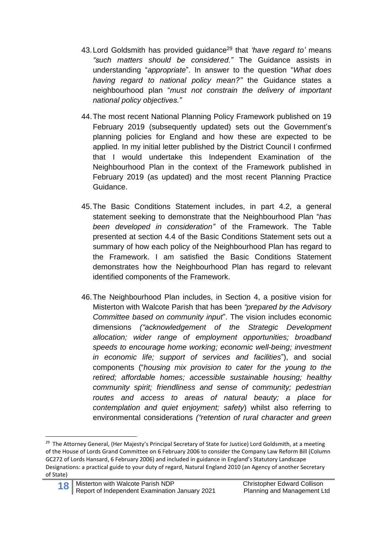- 43.Lord Goldsmith has provided guidance<sup>29</sup> that *'have regard to'* means *"such matters should be considered."* The Guidance assists in understanding "*appropriate*". In answer to the question "*What does having regard to national policy mean?"* the Guidance states a neighbourhood plan "*must not constrain the delivery of important national policy objectives."*
- 44.The most recent National Planning Policy Framework published on 19 February 2019 (subsequently updated) sets out the Government's planning policies for England and how these are expected to be applied. In my initial letter published by the District Council I confirmed that I would undertake this Independent Examination of the Neighbourhood Plan in the context of the Framework published in February 2019 (as updated) and the most recent Planning Practice Guidance.
- 45.The Basic Conditions Statement includes, in part 4.2, a general statement seeking to demonstrate that the Neighbourhood Plan "*has been developed in consideration"* of the Framework. The Table presented at section 4.4 of the Basic Conditions Statement sets out a summary of how each policy of the Neighbourhood Plan has regard to the Framework. I am satisfied the Basic Conditions Statement demonstrates how the Neighbourhood Plan has regard to relevant identified components of the Framework.
- 46.The Neighbourhood Plan includes, in Section 4, a positive vision for Misterton with Walcote Parish that has been *"prepared by the Advisory Committee based on community input*". The vision includes economic dimensions *("acknowledgement of the Strategic Development allocation; wider range of employment opportunities; broadband speeds to encourage home working; economic well-being; investment in economic life; support of services and facilities*"), and social components ("*housing mix provision to cater for the young to the retired; affordable homes; accessible sustainable housing; healthy community spirit; friendliness and sense of community; pedestrian routes and access to areas of natural beauty; a place for contemplation and quiet enjoyment; safety*) whilst also referring to environmental considerations *("retention of rural character and green*

<sup>&</sup>lt;sup>29</sup> The Attorney General, (Her Majesty's Principal Secretary of State for Justice) Lord Goldsmith, at a meeting of the House of Lords Grand Committee on 6 February 2006 to consider the Company Law Reform Bill (Column GC272 of Lords Hansard, 6 February 2006) and included in guidance in England's Statutory Landscape Designations: a practical guide to your duty of regard, Natural England 2010 (an Agency of another Secretary of State)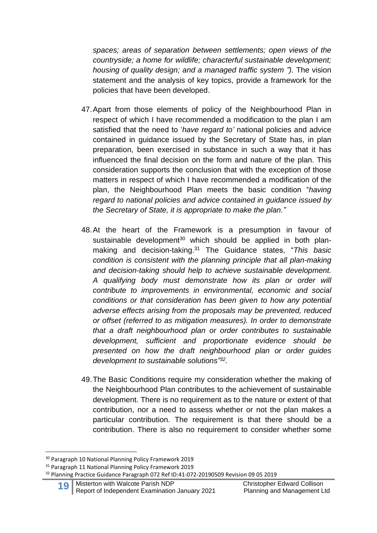*spaces; areas of separation between settlements; open views of the countryside; a home for wildlife; characterful sustainable development; housing of quality design; and a managed traffic system ").* The vision statement and the analysis of key topics, provide a framework for the policies that have been developed.

- 47.Apart from those elements of policy of the Neighbourhood Plan in respect of which I have recommended a modification to the plan I am satisfied that the need to '*have regard to'* national policies and advice contained in guidance issued by the Secretary of State has, in plan preparation, been exercised in substance in such a way that it has influenced the final decision on the form and nature of the plan. This consideration supports the conclusion that with the exception of those matters in respect of which I have recommended a modification of the plan, the Neighbourhood Plan meets the basic condition "*having regard to national policies and advice contained in guidance issued by the Secretary of State, it is appropriate to make the plan."*
- 48.At the heart of the Framework is a presumption in favour of sustainable development<sup>30</sup> which should be applied in both planmaking and decision-taking. <sup>31</sup> The Guidance states, "*This basic condition is consistent with the planning principle that all plan-making and decision-taking should help to achieve sustainable development. A qualifying body must demonstrate how its plan or order will contribute to improvements in environmental, economic and social conditions or that consideration has been given to how any potential adverse effects arising from the proposals may be prevented, reduced or offset (referred to as mitigation measures). In order to demonstrate that a draft neighbourhood plan or order contributes to sustainable development, sufficient and proportionate evidence should be presented on how the draft neighbourhood plan or order guides development to sustainable solutions" 32 .*
- 49.The Basic Conditions require my consideration whether the making of the Neighbourhood Plan contributes to the achievement of sustainable development. There is no requirement as to the nature or extent of that contribution, nor a need to assess whether or not the plan makes a particular contribution. The requirement is that there should be a contribution. There is also no requirement to consider whether some

<sup>31</sup> Paragraph 11 National Planning Policy Framework 2019

<sup>30</sup> Paragraph 10 National Planning Policy Framework 2019

<sup>&</sup>lt;sup>32</sup> Planning Practice Guidance Paragraph 072 Ref ID:41-072-20190509 Revision 09 05 2019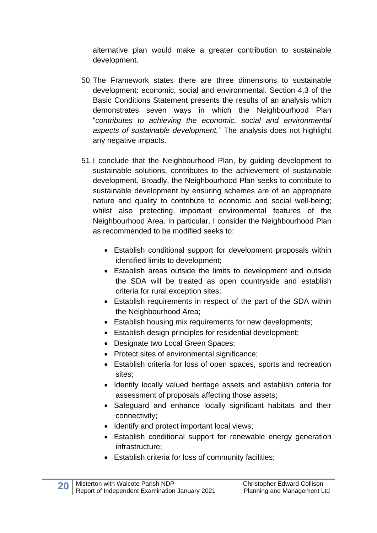alternative plan would make a greater contribution to sustainable development.

- 50.The Framework states there are three dimensions to sustainable development: economic, social and environmental. Section 4.3 of the Basic Conditions Statement presents the results of an analysis which demonstrates seven ways in which the Neighbourhood Plan "*contributes to achieving the economic, social and environmental aspects of sustainable development."* The analysis does not highlight any negative impacts.
- 51.I conclude that the Neighbourhood Plan, by guiding development to sustainable solutions, contributes to the achievement of sustainable development. Broadly, the Neighbourhood Plan seeks to contribute to sustainable development by ensuring schemes are of an appropriate nature and quality to contribute to economic and social well-being; whilst also protecting important environmental features of the Neighbourhood Area. In particular, I consider the Neighbourhood Plan as recommended to be modified seeks to:
	- Establish conditional support for development proposals within identified limits to development;
	- Establish areas outside the limits to development and outside the SDA will be treated as open countryside and establish criteria for rural exception sites;
	- Establish requirements in respect of the part of the SDA within the Neighbourhood Area;
	- Establish housing mix requirements for new developments;
	- Establish design principles for residential development;
	- Designate two Local Green Spaces;
	- Protect sites of environmental significance;
	- Establish criteria for loss of open spaces, sports and recreation sites;
	- Identify locally valued heritage assets and establish criteria for assessment of proposals affecting those assets;
	- Safeguard and enhance locally significant habitats and their connectivity;
	- Identify and protect important local views;
	- Establish conditional support for renewable energy generation infrastructure;
	- Establish criteria for loss of community facilities;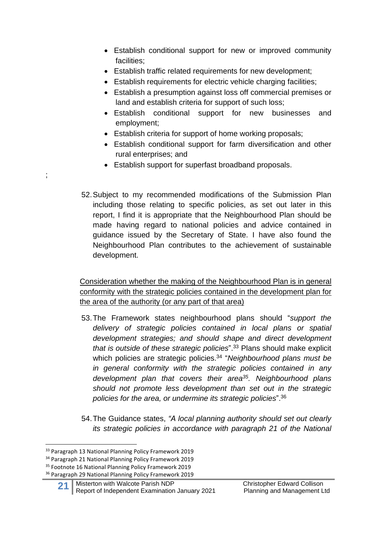- Establish conditional support for new or improved community facilities;
- Establish traffic related requirements for new development;
- Establish requirements for electric vehicle charging facilities;
- Establish a presumption against loss off commercial premises or land and establish criteria for support of such loss;
- Establish conditional support for new businesses and employment;
- Establish criteria for support of home working proposals;
- Establish conditional support for farm diversification and other rural enterprises; and
- Establish support for superfast broadband proposals.
- 52.Subject to my recommended modifications of the Submission Plan including those relating to specific policies, as set out later in this report, I find it is appropriate that the Neighbourhood Plan should be made having regard to national policies and advice contained in guidance issued by the Secretary of State. I have also found the Neighbourhood Plan contributes to the achievement of sustainable development.

Consideration whether the making of the Neighbourhood Plan is in general conformity with the strategic policies contained in the development plan for the area of the authority (or any part of that area)

- 53.The Framework states neighbourhood plans should "*support the delivery of strategic policies contained in local plans or spatial development strategies; and should shape and direct development that is outside of these strategic policies*". <sup>33</sup> Plans should make explicit which policies are strategic policies. 34 "*Neighbourhood plans must be in general conformity with the strategic policies contained in any development plan that covers their area<sup>35</sup> . Neighbourhood plans should not promote less development than set out in the strategic policies for the area, or undermine its strategic policies*". 36
- 54.The Guidance states, *"A local planning authority should set out clearly its strategic policies in accordance with paragraph 21 of the National*

;

<sup>&</sup>lt;sup>33</sup> Paragraph 13 National Planning Policy Framework 2019

<sup>34</sup> Paragraph 21 National Planning Policy Framework 2019

<sup>&</sup>lt;sup>35</sup> Footnote 16 National Planning Policy Framework 2019

<sup>36</sup> Paragraph 29 National Planning Policy Framework 2019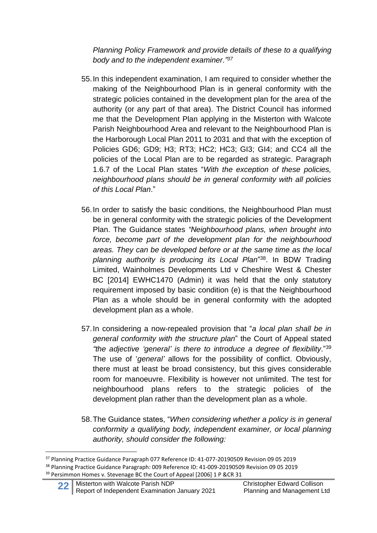*Planning Policy Framework and provide details of these to a qualifying body and to the independent examiner."<sup>37</sup>*

- 55.In this independent examination, I am required to consider whether the making of the Neighbourhood Plan is in general conformity with the strategic policies contained in the development plan for the area of the authority (or any part of that area). The District Council has informed me that the Development Plan applying in the Misterton with Walcote Parish Neighbourhood Area and relevant to the Neighbourhood Plan is the Harborough Local Plan 2011 to 2031 and that with the exception of Policies GD6; GD9; H3; RT3; HC2; HC3; GI3; GI4; and CC4 all the policies of the Local Plan are to be regarded as strategic. Paragraph 1.6.7 of the Local Plan states "*With the exception of these policies, neighbourhood plans should be in general conformity with all policies of this Local Plan*."
- 56.In order to satisfy the basic conditions, the Neighbourhood Plan must be in general conformity with the strategic policies of the Development Plan. The Guidance states *"Neighbourhood plans, when brought into force, become part of the development plan for the neighbourhood areas. They can be developed before or at the same time as the local planning authority is producing its Local Plan*" <sup>38</sup>. In BDW Trading Limited, Wainholmes Developments Ltd v Cheshire West & Chester BC [2014] EWHC1470 (Admin) it was held that the only statutory requirement imposed by basic condition (e) is that the Neighbourhood Plan as a whole should be in general conformity with the adopted development plan as a whole.
- 57.In considering a now-repealed provision that "*a local plan shall be in general conformity with the structure plan*" the Court of Appeal stated *"the adjective 'general' is there to introduce a degree of flexibility*."<sup>39</sup> The use of '*general'* allows for the possibility of conflict. Obviously, there must at least be broad consistency, but this gives considerable room for manoeuvre. Flexibility is however not unlimited. The test for neighbourhood plans refers to the strategic policies of the development plan rather than the development plan as a whole.
- 58.The Guidance states, "*When considering whether a policy is in general conformity a qualifying body, independent examiner, or local planning authority, should consider the following:*

<sup>&</sup>lt;sup>37</sup> Planning Practice Guidance Paragraph 077 Reference ID: 41-077-20190509 Revision 09 05 2019 <sup>38</sup> Planning Practice Guidance Paragraph: 009 Reference ID: 41-009-20190509 Revision 09 05 2019 <sup>39</sup> Persimmon Homes v. Stevenage BC the Court of Appeal [2006] 1 P &CR 31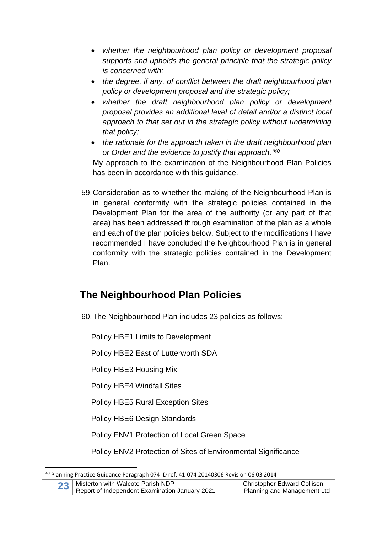- *whether the neighbourhood plan policy or development proposal supports and upholds the general principle that the strategic policy is concerned with;*
- *the degree, if any, of conflict between the draft neighbourhood plan policy or development proposal and the strategic policy;*
- *whether the draft neighbourhood plan policy or development proposal provides an additional level of detail and/or a distinct local approach to that set out in the strategic policy without undermining that policy;*
- *the rationale for the approach taken in the draft neighbourhood plan or Order and the evidence to justify that approach." 40*

My approach to the examination of the Neighbourhood Plan Policies has been in accordance with this guidance.

59.Consideration as to whether the making of the Neighbourhood Plan is in general conformity with the strategic policies contained in the Development Plan for the area of the authority (or any part of that area) has been addressed through examination of the plan as a whole and each of the plan policies below. Subject to the modifications I have recommended I have concluded the Neighbourhood Plan is in general conformity with the strategic policies contained in the Development Plan.

# **The Neighbourhood Plan Policies**

60.The Neighbourhood Plan includes 23 policies as follows:

Policy HBE1 Limits to Development

Policy HBE2 East of Lutterworth SDA

Policy HBE3 Housing Mix

Policy HBE4 Windfall Sites

Policy HBE5 Rural Exception Sites

Policy HBE6 Design Standards

Policy ENV1 Protection of Local Green Space

Policy ENV2 Protection of Sites of Environmental Significance

<sup>40</sup> Planning Practice Guidance Paragraph 074 ID ref: 41-074 20140306 Revision 06 03 2014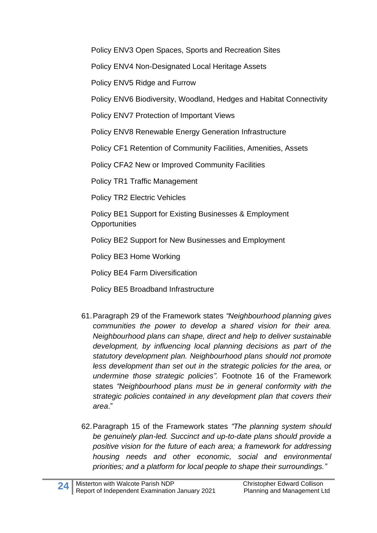Policy ENV3 Open Spaces, Sports and Recreation Sites

Policy ENV4 Non-Designated Local Heritage Assets

Policy ENV5 Ridge and Furrow

Policy ENV6 Biodiversity, Woodland, Hedges and Habitat Connectivity

Policy ENV7 Protection of Important Views

Policy ENV8 Renewable Energy Generation Infrastructure

Policy CF1 Retention of Community Facilities, Amenities, Assets

Policy CFA2 New or Improved Community Facilities

Policy TR1 Traffic Management

Policy TR2 Electric Vehicles

Policy BE1 Support for Existing Businesses & Employment **Opportunities** 

Policy BE2 Support for New Businesses and Employment

Policy BE3 Home Working

Policy BE4 Farm Diversification

Policy BE5 Broadband Infrastructure

- 61.Paragraph 29 of the Framework states *"Neighbourhood planning gives communities the power to develop a shared vision for their area. Neighbourhood plans can shape, direct and help to deliver sustainable development, by influencing local planning decisions as part of the statutory development plan. Neighbourhood plans should not promote less development than set out in the strategic policies for the area, or undermine those strategic policies".* Footnote 16 of the Framework states *"Neighbourhood plans must be in general conformity with the strategic policies contained in any development plan that covers their area*."
- 62.Paragraph 15 of the Framework states *"The planning system should be genuinely plan-led. Succinct and up-to-date plans should provide a positive vision for the future of each area; a framework for addressing housing needs and other economic, social and environmental priorities; and a platform for local people to shape their surroundings."*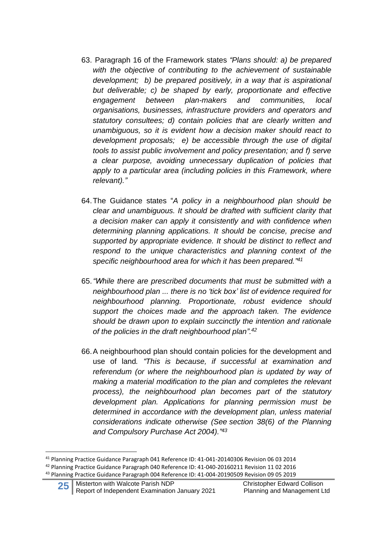- 63. Paragraph 16 of the Framework states *"Plans should: a) be prepared with the objective of contributing to the achievement of sustainable development; b) be prepared positively, in a way that is aspirational but deliverable; c) be shaped by early, proportionate and effective engagement between plan-makers and communities, local organisations, businesses, infrastructure providers and operators and statutory consultees; d) contain policies that are clearly written and unambiguous, so it is evident how a decision maker should react to development proposals; e) be accessible through the use of digital tools to assist public involvement and policy presentation; and f) serve a clear purpose, avoiding unnecessary duplication of policies that apply to a particular area (including policies in this Framework, where relevant)."*
- 64.The Guidance states "*A policy in a neighbourhood plan should be clear and unambiguous. It should be drafted with sufficient clarity that a decision maker can apply it consistently and with confidence when determining planning applications. It should be concise, precise and supported by appropriate evidence. It should be distinct to reflect and respond to the unique characteristics and planning context of the specific neighbourhood area for which it has been prepared." 41*
- 65.*"While there are prescribed documents that must be submitted with a neighbourhood plan ... there is no 'tick box' list of evidence required for neighbourhood planning. Proportionate, robust evidence should support the choices made and the approach taken. The evidence should be drawn upon to explain succinctly the intention and rationale of the policies in the draft neighbourhood plan".<sup>42</sup>*
- 66.A neighbourhood plan should contain policies for the development and use of land*. "This is because, if successful at examination and referendum (or where the neighbourhood plan is updated by way of making a material modification to the plan and completes the relevant process), the neighbourhood plan becomes part of the statutory development plan. Applications for planning permission must be determined in accordance with the development plan, unless material considerations indicate otherwise (See section 38(6) of the Planning and Compulsory Purchase Act 2004)."<sup>43</sup>*

<sup>41</sup> Planning Practice Guidance Paragraph 041 Reference ID: 41-041-20140306 Revision 06 03 2014 <sup>42</sup> Planning Practice Guidance Paragraph 040 Reference ID: 41-040-20160211 Revision 11 02 2016 <sup>43</sup> Planning Practice Guidance Paragraph 004 Reference ID: 41-004-20190509 Revision 09 05 2019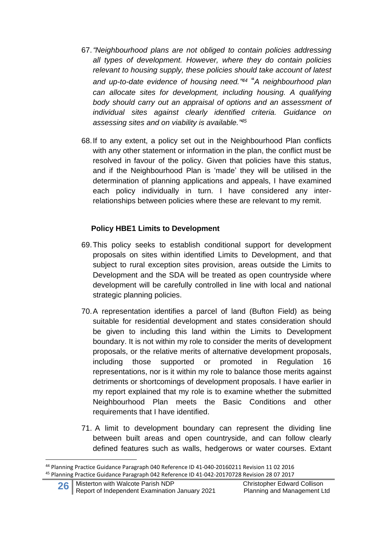- 67.*"Neighbourhood plans are not obliged to contain policies addressing all types of development. However, where they do contain policies relevant to housing supply, these policies should take account of latest and up-to-date evidence of housing need." <sup>44</sup>* "*A neighbourhood plan can allocate sites for development, including housing. A qualifying body should carry out an appraisal of options and an assessment of individual sites against clearly identified criteria. Guidance on assessing sites and on viability is available." 45*
- 68.If to any extent, a policy set out in the Neighbourhood Plan conflicts with any other statement or information in the plan, the conflict must be resolved in favour of the policy. Given that policies have this status, and if the Neighbourhood Plan is 'made' they will be utilised in the determination of planning applications and appeals, I have examined each policy individually in turn. I have considered any interrelationships between policies where these are relevant to my remit.

#### **Policy HBE1 Limits to Development**

- 69.This policy seeks to establish conditional support for development proposals on sites within identified Limits to Development, and that subject to rural exception sites provision, areas outside the Limits to Development and the SDA will be treated as open countryside where development will be carefully controlled in line with local and national strategic planning policies.
- 70.A representation identifies a parcel of land (Bufton Field) as being suitable for residential development and states consideration should be given to including this land within the Limits to Development boundary. It is not within my role to consider the merits of development proposals, or the relative merits of alternative development proposals, including those supported or promoted in Regulation 16 representations, nor is it within my role to balance those merits against detriments or shortcomings of development proposals. I have earlier in my report explained that my role is to examine whether the submitted Neighbourhood Plan meets the Basic Conditions and other requirements that I have identified.
- 71. A limit to development boundary can represent the dividing line between built areas and open countryside, and can follow clearly defined features such as walls, hedgerows or water courses. Extant

<sup>44</sup> Planning Practice Guidance Paragraph 040 Reference ID 41-040-20160211 Revision 11 02 2016 <sup>45</sup> Planning Practice Guidance Paragraph 042 Reference ID 41-042-20170728 Revision 28 07 2017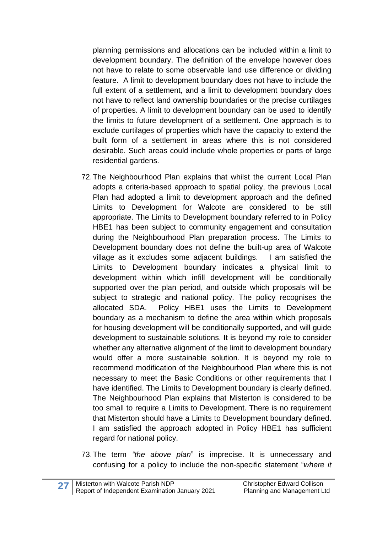planning permissions and allocations can be included within a limit to development boundary. The definition of the envelope however does not have to relate to some observable land use difference or dividing feature. A limit to development boundary does not have to include the full extent of a settlement, and a limit to development boundary does not have to reflect land ownership boundaries or the precise curtilages of properties. A limit to development boundary can be used to identify the limits to future development of a settlement. One approach is to exclude curtilages of properties which have the capacity to extend the built form of a settlement in areas where this is not considered desirable. Such areas could include whole properties or parts of large residential gardens.

- 72.The Neighbourhood Plan explains that whilst the current Local Plan adopts a criteria-based approach to spatial policy, the previous Local Plan had adopted a limit to development approach and the defined Limits to Development for Walcote are considered to be still appropriate. The Limits to Development boundary referred to in Policy HBE1 has been subject to community engagement and consultation during the Neighbourhood Plan preparation process. The Limits to Development boundary does not define the built-up area of Walcote village as it excludes some adjacent buildings. I am satisfied the Limits to Development boundary indicates a physical limit to development within which infill development will be conditionally supported over the plan period, and outside which proposals will be subject to strategic and national policy. The policy recognises the allocated SDA. Policy HBE1 uses the Limits to Development boundary as a mechanism to define the area within which proposals for housing development will be conditionally supported, and will guide development to sustainable solutions. It is beyond my role to consider whether any alternative alignment of the limit to development boundary would offer a more sustainable solution. It is beyond my role to recommend modification of the Neighbourhood Plan where this is not necessary to meet the Basic Conditions or other requirements that I have identified. The Limits to Development boundary is clearly defined. The Neighbourhood Plan explains that Misterton is considered to be too small to require a Limits to Development. There is no requirement that Misterton should have a Limits to Development boundary defined. I am satisfied the approach adopted in Policy HBE1 has sufficient regard for national policy.
- 73.The term *"the above plan*" is imprecise. It is unnecessary and confusing for a policy to include the non-specific statement "*where it*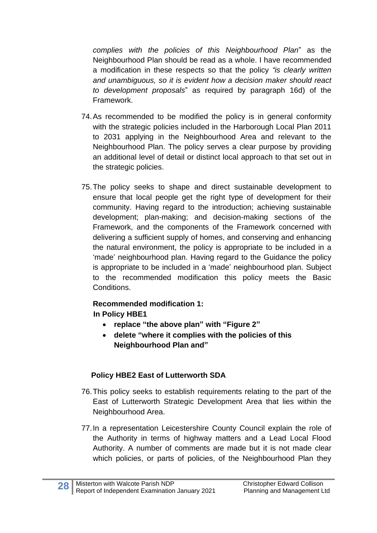*complies with the policies of this Neighbourhood Plan*" as the Neighbourhood Plan should be read as a whole. I have recommended a modification in these respects so that the policy *"is clearly written and unambiguous, so it is evident how a decision maker should react to development proposals*" as required by paragraph 16d) of the Framework.

- 74.As recommended to be modified the policy is in general conformity with the strategic policies included in the Harborough Local Plan 2011 to 2031 applying in the Neighbourhood Area and relevant to the Neighbourhood Plan. The policy serves a clear purpose by providing an additional level of detail or distinct local approach to that set out in the strategic policies.
- 75.The policy seeks to shape and direct sustainable development to ensure that local people get the right type of development for their community. Having regard to the introduction; achieving sustainable development; plan-making; and decision-making sections of the Framework, and the components of the Framework concerned with delivering a sufficient supply of homes, and conserving and enhancing the natural environment, the policy is appropriate to be included in a 'made' neighbourhood plan. Having regard to the Guidance the policy is appropriate to be included in a 'made' neighbourhood plan. Subject to the recommended modification this policy meets the Basic Conditions.

#### **Recommended modification 1: In Policy HBE1**

- **replace "the above plan" with "Figure 2"**
- **delete "where it complies with the policies of this Neighbourhood Plan and"**

# **Policy HBE2 East of Lutterworth SDA**

- 76.This policy seeks to establish requirements relating to the part of the East of Lutterworth Strategic Development Area that lies within the Neighbourhood Area.
- 77.In a representation Leicestershire County Council explain the role of the Authority in terms of highway matters and a Lead Local Flood Authority. A number of comments are made but it is not made clear which policies, or parts of policies, of the Neighbourhood Plan they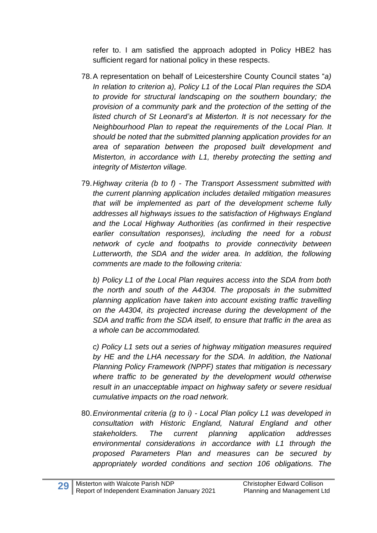refer to. I am satisfied the approach adopted in Policy HBE2 has sufficient regard for national policy in these respects.

- 78.A representation on behalf of Leicestershire County Council states "*a) In relation to criterion a), Policy L1 of the Local Plan requires the SDA to provide for structural landscaping on the southern boundary; the provision of a community park and the protection of the setting of the listed church of St Leonard's at Misterton. It is not necessary for the Neighbourhood Plan to repeat the requirements of the Local Plan. It should be noted that the submitted planning application provides for an area of separation between the proposed built development and Misterton, in accordance with L1, thereby protecting the setting and integrity of Misterton village.*
- 79.*Highway criteria (b to f) - The Transport Assessment submitted with the current planning application includes detailed mitigation measures that will be implemented as part of the development scheme fully addresses all highways issues to the satisfaction of Highways England and the Local Highway Authorities (as confirmed in their respective earlier consultation responses), including the need for a robust network of cycle and footpaths to provide connectivity between Lutterworth, the SDA and the wider area. In addition, the following comments are made to the following criteria:*

*b) Policy L1 of the Local Plan requires access into the SDA from both the north and south of the A4304. The proposals in the submitted planning application have taken into account existing traffic travelling on the A4304, its projected increase during the development of the SDA and traffic from the SDA itself, to ensure that traffic in the area as a whole can be accommodated.* 

*c) Policy L1 sets out a series of highway mitigation measures required by HE and the LHA necessary for the SDA. In addition, the National Planning Policy Framework (NPPF) states that mitigation is necessary where traffic to be generated by the development would otherwise result in an unacceptable impact on highway safety or severe residual cumulative impacts on the road network.* 

80.*Environmental criteria (g to i) - Local Plan policy L1 was developed in consultation with Historic England, Natural England and other stakeholders. The current planning application addresses environmental considerations in accordance with L1 through the proposed Parameters Plan and measures can be secured by appropriately worded conditions and section 106 obligations. The*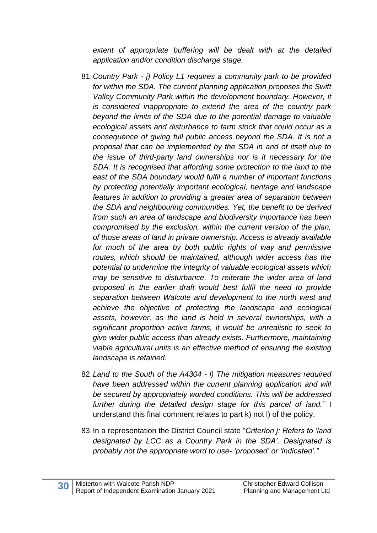*extent of appropriate buffering will be dealt with at the detailed application and/or condition discharge stage.* 

- 81.*Country Park - j) Policy L1 requires a community park to be provided*  for within the SDA. The current planning application proposes the Swift *Valley Community Park within the development boundary. However, it is considered inappropriate to extend the area of the country park beyond the limits of the SDA due to the potential damage to valuable ecological assets and disturbance to farm stock that could occur as a consequence of giving full public access beyond the SDA. It is not a proposal that can be implemented by the SDA in and of itself due to the issue of third-party land ownerships nor is it necessary for the SDA. It is recognised that affording some protection to the land to the east of the SDA boundary would fulfil a number of important functions by protecting potentially important ecological, heritage and landscape features in addition to providing a greater area of separation between the SDA and neighbouring communities. Yet, the benefit to be derived from such an area of landscape and biodiversity importance has been compromised by the exclusion, within the current version of the plan, of those areas of land in private ownership. Access is already available for much of the area by both public rights of way and permissive routes, which should be maintained, although wider access has the potential to undermine the integrity of valuable ecological assets which may be sensitive to disturbance. To reiterate the wider area of land proposed in the earlier draft would best fulfil the need to provide separation between Walcote and development to the north west and achieve the objective of protecting the landscape and ecological assets, however, as the land is held in several ownerships, with a significant proportion active farms, it would be unrealistic to seek to give wider public access than already exists. Furthermore, maintaining viable agricultural units is an effective method of ensuring the existing landscape is retained.*
- 82.*Land to the South of the A4304 - l) The mitigation measures required have been addressed within the current planning application and will be secured by appropriately worded conditions. This will be addressed further during the detailed design stage for this parcel of land."* I understand this final comment relates to part k) not l) of the policy.
- 83.In a representation the District Council state "*Criterion j: Refers to 'land designated by LCC as a Country Park in the SDA'. Designated is probably not the appropriate word to use- 'proposed' or 'indicated'."*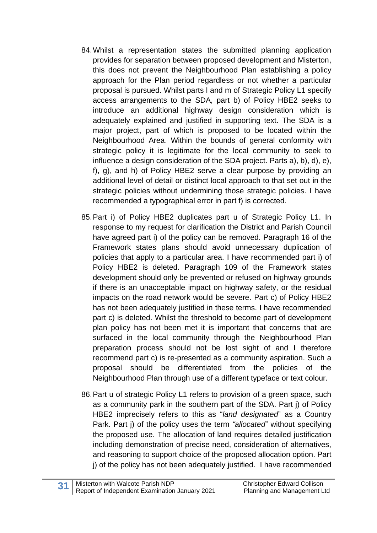- 84.Whilst a representation states the submitted planning application provides for separation between proposed development and Misterton, this does not prevent the Neighbourhood Plan establishing a policy approach for the Plan period regardless or not whether a particular proposal is pursued. Whilst parts l and m of Strategic Policy L1 specify access arrangements to the SDA, part b) of Policy HBE2 seeks to introduce an additional highway design consideration which is adequately explained and justified in supporting text. The SDA is a major project, part of which is proposed to be located within the Neighbourhood Area. Within the bounds of general conformity with strategic policy it is legitimate for the local community to seek to influence a design consideration of the SDA project. Parts a), b), d), e), f), g), and h) of Policy HBE2 serve a clear purpose by providing an additional level of detail or distinct local approach to that set out in the strategic policies without undermining those strategic policies. I have recommended a typographical error in part f) is corrected.
- 85.Part i) of Policy HBE2 duplicates part u of Strategic Policy L1. In response to my request for clarification the District and Parish Council have agreed part i) of the policy can be removed. Paragraph 16 of the Framework states plans should avoid unnecessary duplication of policies that apply to a particular area. I have recommended part i) of Policy HBE2 is deleted. Paragraph 109 of the Framework states development should only be prevented or refused on highway grounds if there is an unacceptable impact on highway safety, or the residual impacts on the road network would be severe. Part c) of Policy HBE2 has not been adequately justified in these terms. I have recommended part c) is deleted. Whilst the threshold to become part of development plan policy has not been met it is important that concerns that are surfaced in the local community through the Neighbourhood Plan preparation process should not be lost sight of and I therefore recommend part c) is re-presented as a community aspiration. Such a proposal should be differentiated from the policies of the Neighbourhood Plan through use of a different typeface or text colour.
- 86.Part u of strategic Policy L1 refers to provision of a green space, such as a community park in the southern part of the SDA. Part j) of Policy HBE2 imprecisely refers to this as "*land designated*" as a Country Park. Part j) of the policy uses the term *"allocated*" without specifying the proposed use. The allocation of land requires detailed justification including demonstration of precise need, consideration of alternatives, and reasoning to support choice of the proposed allocation option. Part j) of the policy has not been adequately justified. I have recommended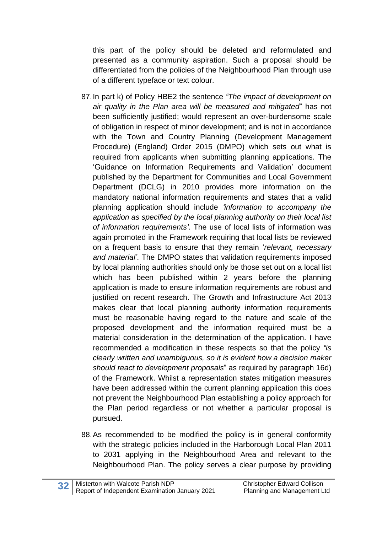this part of the policy should be deleted and reformulated and presented as a community aspiration. Such a proposal should be differentiated from the policies of the Neighbourhood Plan through use of a different typeface or text colour.

- 87.In part k) of Policy HBE2 the sentence *"The impact of development on air quality in the Plan area will be measured and mitigated*" has not been sufficiently justified; would represent an over-burdensome scale of obligation in respect of minor development; and is not in accordance with the Town and Country Planning (Development Management Procedure) (England) Order 2015 (DMPO) which sets out what is required from applicants when submitting planning applications. The 'Guidance on Information Requirements and Validation' document published by the Department for Communities and Local Government Department (DCLG) in 2010 provides more information on the mandatory national information requirements and states that a valid planning application should include *'information to accompany the application as specified by the local planning authority on their local list of information requirements'*. The use of local lists of information was again promoted in the Framework requiring that local lists be reviewed on a frequent basis to ensure that they remain '*relevant, necessary and material'*. The DMPO states that validation requirements imposed by local planning authorities should only be those set out on a local list which has been published within 2 years before the planning application is made to ensure information requirements are robust and justified on recent research. The Growth and Infrastructure Act 2013 makes clear that local planning authority information requirements must be reasonable having regard to the nature and scale of the proposed development and the information required must be a material consideration in the determination of the application. I have recommended a modification in these respects so that the policy *"is clearly written and unambiguous, so it is evident how a decision maker should react to development proposals*" as required by paragraph 16d) of the Framework. Whilst a representation states mitigation measures have been addressed within the current planning application this does not prevent the Neighbourhood Plan establishing a policy approach for the Plan period regardless or not whether a particular proposal is pursued.
- 88.As recommended to be modified the policy is in general conformity with the strategic policies included in the Harborough Local Plan 2011 to 2031 applying in the Neighbourhood Area and relevant to the Neighbourhood Plan. The policy serves a clear purpose by providing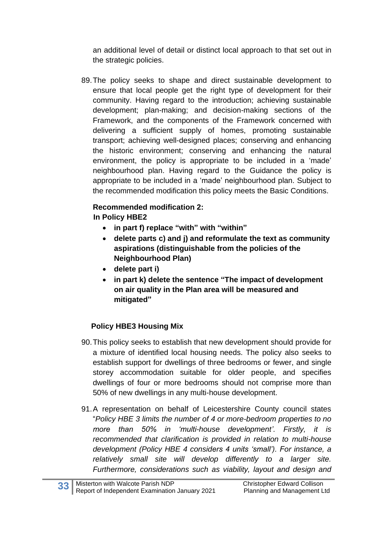an additional level of detail or distinct local approach to that set out in the strategic policies.

89.The policy seeks to shape and direct sustainable development to ensure that local people get the right type of development for their community. Having regard to the introduction; achieving sustainable development; plan-making; and decision-making sections of the Framework, and the components of the Framework concerned with delivering a sufficient supply of homes, promoting sustainable transport; achieving well-designed places; conserving and enhancing the historic environment; conserving and enhancing the natural environment, the policy is appropriate to be included in a 'made' neighbourhood plan. Having regard to the Guidance the policy is appropriate to be included in a 'made' neighbourhood plan. Subject to the recommended modification this policy meets the Basic Conditions.

#### **Recommended modification 2: In Policy HBE2**

- **in part f) replace "with" with "within"**
- **delete parts c) and j) and reformulate the text as community aspirations (distinguishable from the policies of the Neighbourhood Plan)**
- **delete part i)**
- **in part k) delete the sentence "The impact of development on air quality in the Plan area will be measured and mitigated"**

#### **Policy HBE3 Housing Mix**

- 90.This policy seeks to establish that new development should provide for a mixture of identified local housing needs. The policy also seeks to establish support for dwellings of three bedrooms or fewer, and single storey accommodation suitable for older people, and specifies dwellings of four or more bedrooms should not comprise more than 50% of new dwellings in any multi-house development.
- 91.A representation on behalf of Leicestershire County council states "*Policy HBE 3 limits the number of 4 or more-bedroom properties to no more than 50% in 'multi-house development'. Firstly, it is recommended that clarification is provided in relation to multi-house development (Policy HBE 4 considers 4 units 'small'). For instance, a relatively small site will develop differently to a larger site. Furthermore, considerations such as viability, layout and design and*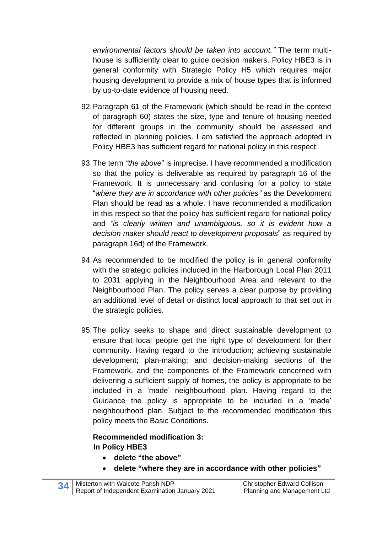*environmental factors should be taken into account."* The term multihouse is sufficiently clear to guide decision makers. Policy HBE3 is in general conformity with Strategic Policy H5 which requires major housing development to provide a mix of house types that is informed by up-to-date evidence of housing need.

- 92.Paragraph 61 of the Framework (which should be read in the context of paragraph 60) states the size, type and tenure of housing needed for different groups in the community should be assessed and reflected in planning policies. I am satisfied the approach adopted in Policy HBE3 has sufficient regard for national policy in this respect.
- 93.The term *"the above*" is imprecise. I have recommended a modification so that the policy is deliverable as required by paragraph 16 of the Framework. It is unnecessary and confusing for a policy to state "*where they are in accordance with other policies"* as the Development Plan should be read as a whole. I have recommended a modification in this respect so that the policy has sufficient regard for national policy and *"is clearly written and unambiguous, so it is evident how a decision maker should react to development proposals*" as required by paragraph 16d) of the Framework.
- 94.As recommended to be modified the policy is in general conformity with the strategic policies included in the Harborough Local Plan 2011 to 2031 applying in the Neighbourhood Area and relevant to the Neighbourhood Plan. The policy serves a clear purpose by providing an additional level of detail or distinct local approach to that set out in the strategic policies.
- 95.The policy seeks to shape and direct sustainable development to ensure that local people get the right type of development for their community. Having regard to the introduction; achieving sustainable development; plan-making; and decision-making sections of the Framework, and the components of the Framework concerned with delivering a sufficient supply of homes, the policy is appropriate to be included in a 'made' neighbourhood plan. Having regard to the Guidance the policy is appropriate to be included in a 'made' neighbourhood plan. Subject to the recommended modification this policy meets the Basic Conditions.

# **Recommended modification 3: In Policy HBE3**

- **delete "the above"**
- **delete "where they are in accordance with other policies"**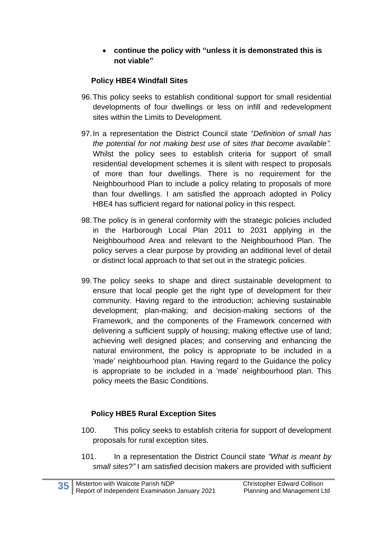#### • **continue the policy with "unless it is demonstrated this is not viable"**

# **Policy HBE4 Windfall Sites**

- 96.This policy seeks to establish conditional support for small residential developments of four dwellings or less on infill and redevelopment sites within the Limits to Development.
- 97.In a representation the District Council state "*Definition of small has the potential for not making best use of sites that become available".* Whilst the policy sees to establish criteria for support of small residential development schemes it is silent with respect to proposals of more than four dwellings. There is no requirement for the Neighbourhood Plan to include a policy relating to proposals of more than four dwellings. I am satisfied the approach adopted in Policy HBE4 has sufficient regard for national policy in this respect.
- 98.The policy is in general conformity with the strategic policies included in the Harborough Local Plan 2011 to 2031 applying in the Neighbourhood Area and relevant to the Neighbourhood Plan. The policy serves a clear purpose by providing an additional level of detail or distinct local approach to that set out in the strategic policies.
- 99.The policy seeks to shape and direct sustainable development to ensure that local people get the right type of development for their community. Having regard to the introduction; achieving sustainable development; plan-making; and decision-making sections of the Framework, and the components of the Framework concerned with delivering a sufficient supply of housing; making effective use of land; achieving well designed places; and conserving and enhancing the natural environment, the policy is appropriate to be included in a 'made' neighbourhood plan. Having regard to the Guidance the policy is appropriate to be included in a 'made' neighbourhood plan. This policy meets the Basic Conditions.

# **Policy HBE5 Rural Exception Sites**

- 100. This policy seeks to establish criteria for support of development proposals for rural exception sites.
- 101. In a representation the District Council state *"What is meant by small sites?"* I am satisfied decision makers are provided with sufficient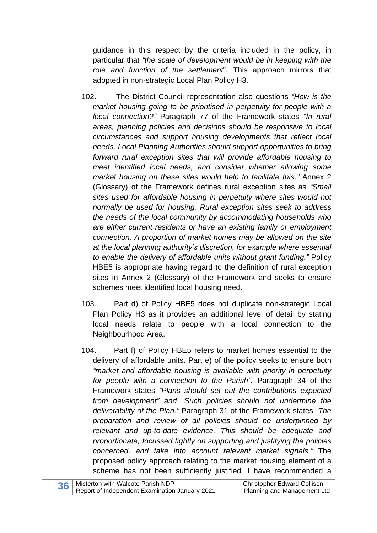guidance in this respect by the criteria included in the policy, in particular that *"the scale of development would be in keeping with the role and function of the settlement*". This approach mirrors that adopted in non-strategic Local Plan Policy H3.

- 102. The District Council representation also questions *"How is the market housing going to be prioritised in perpetuity for people with a local connection?"* Paragraph 77 of the Framework states *"In rural areas, planning policies and decisions should be responsive to local circumstances and support housing developments that reflect local needs. Local Planning Authorities should support opportunities to bring forward rural exception sites that will provide affordable housing to meet identified local needs, and consider whether allowing some market housing on these sites would help to facilitate this."* Annex 2 (Glossary) of the Framework defines rural exception sites as *"Small sites used for affordable housing in perpetuity where sites would not normally be used for housing. Rural exception sites seek to address the needs of the local community by accommodating households who are either current residents or have an existing family or employment connection. A proportion of market homes may be allowed on the site at the local planning authority's discretion, for example where essential to enable the delivery of affordable units without grant funding."* Policy HBE5 is appropriate having regard to the definition of rural exception sites in Annex 2 (Glossary) of the Framework and seeks to ensure schemes meet identified local housing need.
- 103. Part d) of Policy HBE5 does not duplicate non-strategic Local Plan Policy H3 as it provides an additional level of detail by stating local needs relate to people with a local connection to the Neighbourhood Area.
- 104. Part f) of Policy HBE5 refers to market homes essential to the delivery of affordable units. Part e) of the policy seeks to ensure both *"market and affordable housing is available with priority in perpetuity for people with a connection to the Parish".* Paragraph 34 of the Framework states *"Plans should set out the contributions expected from development" and "Such policies should not undermine the deliverability of the Plan."* Paragraph 31 of the Framework states *"The preparation and review of all policies should be underpinned by relevant and up-to-date evidence. This should be adequate and proportionate, focussed tightly on supporting and justifying the policies concerned, and take into account relevant market signals."* The proposed policy approach relating to the market housing element of a scheme has not been sufficiently justified*.* I have recommended a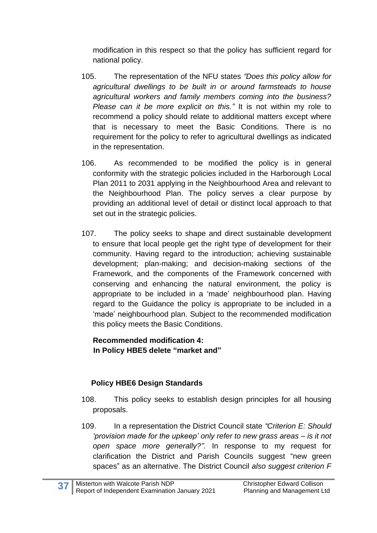modification in this respect so that the policy has sufficient regard for national policy.

- 105. The representation of the NFU states *"Does this policy allow for agricultural dwellings to be built in or around farmsteads to house agricultural workers and family members coming into the business? Please can it be more explicit on this."* It is not within my role to recommend a policy should relate to additional matters except where that is necessary to meet the Basic Conditions. There is no requirement for the policy to refer to agricultural dwellings as indicated in the representation.
- 106. As recommended to be modified the policy is in general conformity with the strategic policies included in the Harborough Local Plan 2011 to 2031 applying in the Neighbourhood Area and relevant to the Neighbourhood Plan. The policy serves a clear purpose by providing an additional level of detail or distinct local approach to that set out in the strategic policies.
- 107. The policy seeks to shape and direct sustainable development to ensure that local people get the right type of development for their community. Having regard to the introduction; achieving sustainable development; plan-making; and decision-making sections of the Framework, and the components of the Framework concerned with conserving and enhancing the natural environment, the policy is appropriate to be included in a 'made' neighbourhood plan. Having regard to the Guidance the policy is appropriate to be included in a 'made' neighbourhood plan. Subject to the recommended modification this policy meets the Basic Conditions.

**Recommended modification 4: In Policy HBE5 delete "market and"**

# **Policy HBE6 Design Standards**

- 108. This policy seeks to establish design principles for all housing proposals.
- 109. In a representation the District Council state *"Criterion E: Should 'provision made for the upkeep' only refer to new grass areas – is it not open space more generally?".* In response to my request for clarification the District and Parish Councils suggest "new green spaces" as an alternative. The District Council *also suggest criterion F*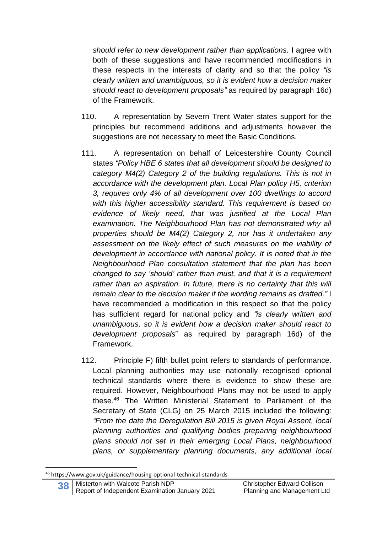*should refer to new development rather than applications.* I agree with both of these suggestions and have recommended modifications in these respects in the interests of clarity and so that the policy *"is clearly written and unambiguous, so it is evident how a decision maker should react to development proposals"* as required by paragraph 16d) of the Framework.

- 110. A representation by Severn Trent Water states support for the principles but recommend additions and adjustments however the suggestions are not necessary to meet the Basic Conditions.
- 111. A representation on behalf of Leicestershire County Council states *"Policy HBE 6 states that all development should be designed to category M4(2) Category 2 of the building regulations. This is not in accordance with the development plan. Local Plan policy H5, criterion 3, requires only 4% of all development over 100 dwellings to accord with this higher accessibility standard. This requirement is based on evidence of likely need, that was justified at the Local Plan examination. The Neighbourhood Plan has not demonstrated why all properties should be M4(2) Category 2, nor has it undertaken any assessment on the likely effect of such measures on the viability of development in accordance with national policy. It is noted that in the Neighbourhood Plan consultation statement that the plan has been changed to say 'should' rather than must, and that it is a requirement*  rather than an aspiration. In future, there is no certainty that this will *remain clear to the decision maker if the wording remains as drafted."* I have recommended a modification in this respect so that the policy has sufficient regard for national policy and *"is clearly written and unambiguous, so it is evident how a decision maker should react to development proposals*" as required by paragraph 16d) of the Framework.
- 112. Principle F) fifth bullet point refers to standards of performance. Local planning authorities may use nationally recognised optional technical standards where there is evidence to show these are required. However, Neighbourhood Plans may not be used to apply these.<sup>46</sup> The Written Ministerial Statement to Parliament of the Secretary of State (CLG) on 25 March 2015 included the following: *"From the date the Deregulation Bill 2015 is given Royal Assent, local planning authorities and qualifying bodies preparing neighbourhood plans should not set in their emerging Local Plans, neighbourhood plans, or supplementary planning documents, any additional local*

<sup>46</sup> https://www.gov.uk/guidance/housing-optional-technical-standards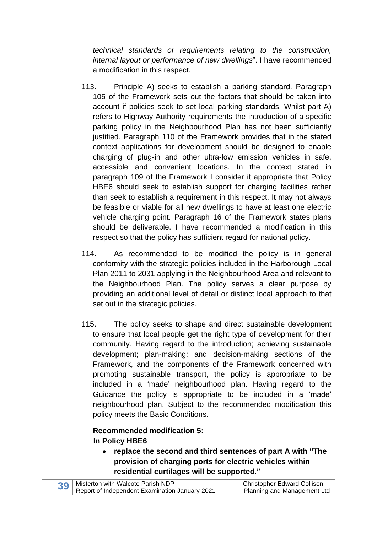*technical standards or requirements relating to the construction, internal layout or performance of new dwellings*". I have recommended a modification in this respect.

- 113. Principle A) seeks to establish a parking standard. Paragraph 105 of the Framework sets out the factors that should be taken into account if policies seek to set local parking standards. Whilst part A) refers to Highway Authority requirements the introduction of a specific parking policy in the Neighbourhood Plan has not been sufficiently justified. Paragraph 110 of the Framework provides that in the stated context applications for development should be designed to enable charging of plug-in and other ultra-low emission vehicles in safe, accessible and convenient locations. In the context stated in paragraph 109 of the Framework I consider it appropriate that Policy HBE6 should seek to establish support for charging facilities rather than seek to establish a requirement in this respect. It may not always be feasible or viable for all new dwellings to have at least one electric vehicle charging point. Paragraph 16 of the Framework states plans should be deliverable. I have recommended a modification in this respect so that the policy has sufficient regard for national policy.
- 114. As recommended to be modified the policy is in general conformity with the strategic policies included in the Harborough Local Plan 2011 to 2031 applying in the Neighbourhood Area and relevant to the Neighbourhood Plan. The policy serves a clear purpose by providing an additional level of detail or distinct local approach to that set out in the strategic policies.
- 115. The policy seeks to shape and direct sustainable development to ensure that local people get the right type of development for their community. Having regard to the introduction; achieving sustainable development; plan-making; and decision-making sections of the Framework, and the components of the Framework concerned with promoting sustainable transport, the policy is appropriate to be included in a 'made' neighbourhood plan. Having regard to the Guidance the policy is appropriate to be included in a 'made' neighbourhood plan. Subject to the recommended modification this policy meets the Basic Conditions.

# **Recommended modification 5: In Policy HBE6**

• **replace the second and third sentences of part A with "The provision of charging ports for electric vehicles within residential curtilages will be supported."**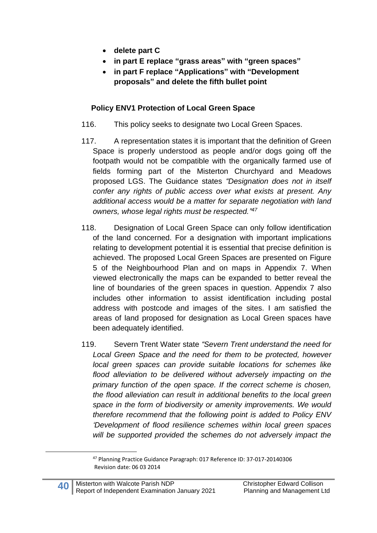- **delete part C**
- **in part E replace "grass areas" with "green spaces"**
- **in part F replace "Applications" with "Development proposals" and delete the fifth bullet point**

#### **Policy ENV1 Protection of Local Green Space**

- 116. This policy seeks to designate two Local Green Spaces.
- 117. A representation states it is important that the definition of Green Space is properly understood as people and/or dogs going off the footpath would not be compatible with the organically farmed use of fields forming part of the Misterton Churchyard and Meadows proposed LGS. The Guidance states *"Designation does not in itself confer any rights of public access over what exists at present. Any additional access would be a matter for separate negotiation with land owners, whose legal rights must be respected." 47*
- 118. Designation of Local Green Space can only follow identification of the land concerned. For a designation with important implications relating to development potential it is essential that precise definition is achieved. The proposed Local Green Spaces are presented on Figure 5 of the Neighbourhood Plan and on maps in Appendix 7. When viewed electronically the maps can be expanded to better reveal the line of boundaries of the green spaces in question. Appendix 7 also includes other information to assist identification including postal address with postcode and images of the sites. I am satisfied the areas of land proposed for designation as Local Green spaces have been adequately identified.
- 119. Severn Trent Water state *"Severn Trent understand the need for Local Green Space and the need for them to be protected, however local green spaces can provide suitable locations for schemes like flood alleviation to be delivered without adversely impacting on the primary function of the open space. If the correct scheme is chosen, the flood alleviation can result in additional benefits to the local green space in the form of biodiversity or amenity improvements. We would therefore recommend that the following point is added to Policy ENV 'Development of flood resilience schemes within local green spaces will be supported provided the schemes do not adversely impact the*

<sup>47</sup> Planning Practice Guidance Paragraph: 017 Reference ID: 37-017-20140306 Revision date: 06 03 2014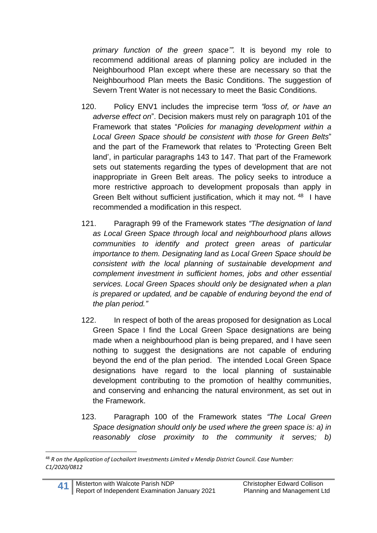*primary function of the green space'".* It is beyond my role to recommend additional areas of planning policy are included in the Neighbourhood Plan except where these are necessary so that the Neighbourhood Plan meets the Basic Conditions. The suggestion of Severn Trent Water is not necessary to meet the Basic Conditions.

- 120. Policy ENV1 includes the imprecise term *"loss of, or have an adverse effect on*". Decision makers must rely on paragraph 101 of the Framework that states "*Policies for managing development within a Local Green Space should be consistent with those for Green Belts*" and the part of the Framework that relates to 'Protecting Green Belt land', in particular paragraphs 143 to 147. That part of the Framework sets out statements regarding the types of development that are not inappropriate in Green Belt areas. The policy seeks to introduce a more restrictive approach to development proposals than apply in Green Belt without sufficient justification, which it may not. <sup>48</sup> I have recommended a modification in this respect.
- 121. Paragraph 99 of the Framework states *"The designation of land as Local Green Space through local and neighbourhood plans allows communities to identify and protect green areas of particular importance to them. Designating land as Local Green Space should be consistent with the local planning of sustainable development and complement investment in sufficient homes, jobs and other essential services. Local Green Spaces should only be designated when a plan is prepared or updated, and be capable of enduring beyond the end of the plan period."*
- 122. In respect of both of the areas proposed for designation as Local Green Space I find the Local Green Space designations are being made when a neighbourhood plan is being prepared, and I have seen nothing to suggest the designations are not capable of enduring beyond the end of the plan period. The intended Local Green Space designations have regard to the local planning of sustainable development contributing to the promotion of healthy communities, and conserving and enhancing the natural environment, as set out in the Framework.
- 123. Paragraph 100 of the Framework states *"The Local Green Space designation should only be used where the green space is: a) in reasonably close proximity to the community it serves; b)*

<sup>48</sup> *R on the Application of Lochailort Investments Limited v Mendip District Council. Case Number: C1/2020/0812*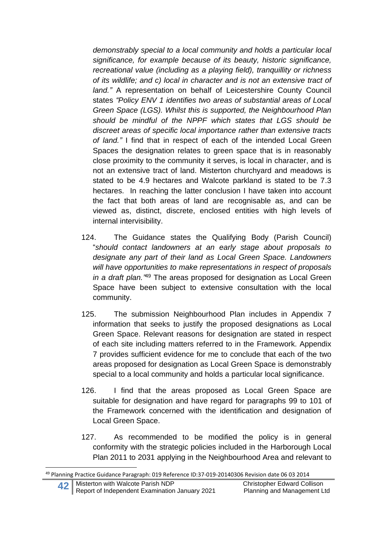*demonstrably special to a local community and holds a particular local significance, for example because of its beauty, historic significance, recreational value (including as a playing field), tranquillity or richness of its wildlife; and c) local in character and is not an extensive tract of land."* A representation on behalf of Leicestershire County Council states *"Policy ENV 1 identifies two areas of substantial areas of Local Green Space (LGS). Whilst this is supported, the Neighbourhood Plan should be mindful of the NPPF which states that LGS should be discreet areas of specific local importance rather than extensive tracts of land."* I find that in respect of each of the intended Local Green Spaces the designation relates to green space that is in reasonably close proximity to the community it serves, is local in character, and is not an extensive tract of land. Misterton churchyard and meadows is stated to be 4.9 hectares and Walcote parkland is stated to be 7.3 hectares. In reaching the latter conclusion I have taken into account the fact that both areas of land are recognisable as, and can be viewed as, distinct, discrete, enclosed entities with high levels of internal intervisibility.

- 124. The Guidance states the Qualifying Body (Parish Council) "*should contact landowners at an early stage about proposals to designate any part of their land as Local Green Space. Landowners will have opportunities to make representations in respect of proposals in a draft plan."* <sup>49</sup> The areas proposed for designation as Local Green Space have been subject to extensive consultation with the local community.
- 125. The submission Neighbourhood Plan includes in Appendix 7 information that seeks to justify the proposed designations as Local Green Space. Relevant reasons for designation are stated in respect of each site including matters referred to in the Framework. Appendix 7 provides sufficient evidence for me to conclude that each of the two areas proposed for designation as Local Green Space is demonstrably special to a local community and holds a particular local significance.
- 126. I find that the areas proposed as Local Green Space are suitable for designation and have regard for paragraphs 99 to 101 of the Framework concerned with the identification and designation of Local Green Space.
- 127. As recommended to be modified the policy is in general conformity with the strategic policies included in the Harborough Local Plan 2011 to 2031 applying in the Neighbourhood Area and relevant to

<sup>49</sup> Planning Practice Guidance Paragraph: 019 Reference ID:37-019-20140306 Revision date 06 03 2014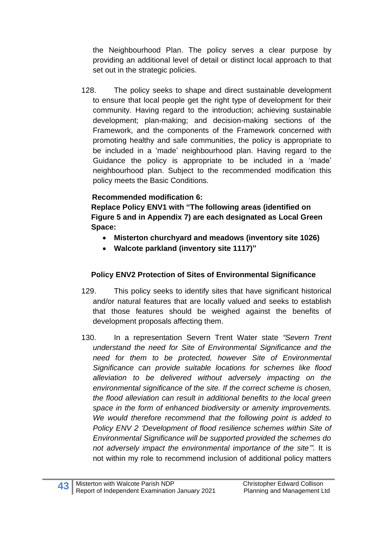the Neighbourhood Plan. The policy serves a clear purpose by providing an additional level of detail or distinct local approach to that set out in the strategic policies.

128. The policy seeks to shape and direct sustainable development to ensure that local people get the right type of development for their community. Having regard to the introduction; achieving sustainable development; plan-making; and decision-making sections of the Framework, and the components of the Framework concerned with promoting healthy and safe communities, the policy is appropriate to be included in a 'made' neighbourhood plan. Having regard to the Guidance the policy is appropriate to be included in a 'made' neighbourhood plan. Subject to the recommended modification this policy meets the Basic Conditions.

# **Recommended modification 6:**

**Replace Policy ENV1 with "The following areas (identified on Figure 5 and in Appendix 7) are each designated as Local Green Space:**

- **Misterton churchyard and meadows (inventory site 1026)**
- **Walcote parkland (inventory site 1117)"**

# **Policy ENV2 Protection of Sites of Environmental Significance**

- 129. This policy seeks to identify sites that have significant historical and/or natural features that are locally valued and seeks to establish that those features should be weighed against the benefits of development proposals affecting them.
- 130. In a representation Severn Trent Water state *"Severn Trent understand the need for Site of Environmental Significance and the need for them to be protected, however Site of Environmental Significance can provide suitable locations for schemes like flood alleviation to be delivered without adversely impacting on the environmental significance of the site. If the correct scheme is chosen, the flood alleviation can result in additional benefits to the local green space in the form of enhanced biodiversity or amenity improvements. We would therefore recommend that the following point is added to Policy ENV 2 'Development of flood resilience schemes within Site of Environmental Significance will be supported provided the schemes do not adversely impact the environmental importance of the site'".* It is not within my role to recommend inclusion of additional policy matters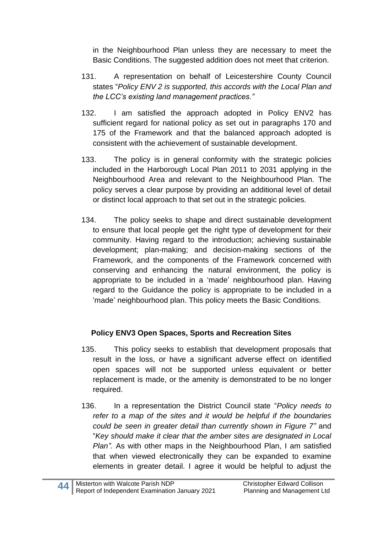in the Neighbourhood Plan unless they are necessary to meet the Basic Conditions. The suggested addition does not meet that criterion.

- 131. A representation on behalf of Leicestershire County Council states "*Policy ENV 2 is supported, this accords with the Local Plan and the LCC's existing land management practices."*
- 132. I am satisfied the approach adopted in Policy ENV2 has sufficient regard for national policy as set out in paragraphs 170 and 175 of the Framework and that the balanced approach adopted is consistent with the achievement of sustainable development.
- 133. The policy is in general conformity with the strategic policies included in the Harborough Local Plan 2011 to 2031 applying in the Neighbourhood Area and relevant to the Neighbourhood Plan. The policy serves a clear purpose by providing an additional level of detail or distinct local approach to that set out in the strategic policies.
- 134. The policy seeks to shape and direct sustainable development to ensure that local people get the right type of development for their community. Having regard to the introduction; achieving sustainable development; plan-making; and decision-making sections of the Framework, and the components of the Framework concerned with conserving and enhancing the natural environment, the policy is appropriate to be included in a 'made' neighbourhood plan. Having regard to the Guidance the policy is appropriate to be included in a 'made' neighbourhood plan. This policy meets the Basic Conditions.

# **Policy ENV3 Open Spaces, Sports and Recreation Sites**

- 135. This policy seeks to establish that development proposals that result in the loss, or have a significant adverse effect on identified open spaces will not be supported unless equivalent or better replacement is made, or the amenity is demonstrated to be no longer required.
- 136. In a representation the District Council state "*Policy needs to refer to a map of the sites and it would be helpful if the boundaries could be seen in greater detail than currently shown in Figure 7"* and "*Key should make it clear that the amber sites are designated in Local Plan".* As with other maps in the Neighbourhood Plan, I am satisfied that when viewed electronically they can be expanded to examine elements in greater detail. I agree it would be helpful to adjust the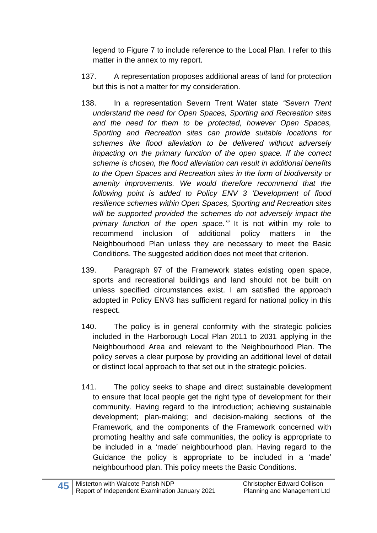legend to Figure 7 to include reference to the Local Plan. I refer to this matter in the annex to my report.

- 137. A representation proposes additional areas of land for protection but this is not a matter for my consideration.
- 138. In a representation Severn Trent Water state *"Severn Trent understand the need for Open Spaces, Sporting and Recreation sites and the need for them to be protected, however Open Spaces, Sporting and Recreation sites can provide suitable locations for schemes like flood alleviation to be delivered without adversely impacting on the primary function of the open space. If the correct scheme is chosen, the flood alleviation can result in additional benefits to the Open Spaces and Recreation sites in the form of biodiversity or amenity improvements. We would therefore recommend that the following point is added to Policy ENV 3 'Development of flood resilience schemes within Open Spaces, Sporting and Recreation sites will be supported provided the schemes do not adversely impact the primary function of the open space.'"* It is not within my role to recommend inclusion of additional policy matters in the Neighbourhood Plan unless they are necessary to meet the Basic Conditions. The suggested addition does not meet that criterion.
- 139. Paragraph 97 of the Framework states existing open space, sports and recreational buildings and land should not be built on unless specified circumstances exist. I am satisfied the approach adopted in Policy ENV3 has sufficient regard for national policy in this respect.
- 140. The policy is in general conformity with the strategic policies included in the Harborough Local Plan 2011 to 2031 applying in the Neighbourhood Area and relevant to the Neighbourhood Plan. The policy serves a clear purpose by providing an additional level of detail or distinct local approach to that set out in the strategic policies.
- 141. The policy seeks to shape and direct sustainable development to ensure that local people get the right type of development for their community. Having regard to the introduction; achieving sustainable development; plan-making; and decision-making sections of the Framework, and the components of the Framework concerned with promoting healthy and safe communities, the policy is appropriate to be included in a 'made' neighbourhood plan. Having regard to the Guidance the policy is appropriate to be included in a 'made' neighbourhood plan. This policy meets the Basic Conditions.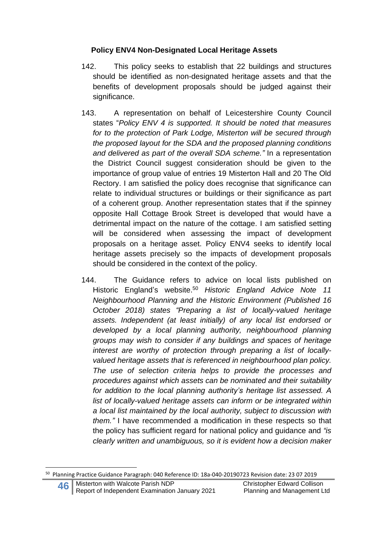### **Policy ENV4 Non-Designated Local Heritage Assets**

- 142. This policy seeks to establish that 22 buildings and structures should be identified as non-designated heritage assets and that the benefits of development proposals should be judged against their significance.
- 143. A representation on behalf of Leicestershire County Council states "*Policy ENV 4 is supported. It should be noted that measures for to the protection of Park Lodge, Misterton will be secured through the proposed layout for the SDA and the proposed planning conditions and delivered as part of the overall SDA scheme."* In a representation the District Council suggest consideration should be given to the importance of group value of entries 19 Misterton Hall and 20 The Old Rectory. I am satisfied the policy does recognise that significance can relate to individual structures or buildings or their significance as part of a coherent group. Another representation states that if the spinney opposite Hall Cottage Brook Street is developed that would have a detrimental impact on the nature of the cottage. I am satisfied setting will be considered when assessing the impact of development proposals on a heritage asset. Policy ENV4 seeks to identify local heritage assets precisely so the impacts of development proposals should be considered in the context of the policy.
- 144. The Guidance refers to advice on local lists published on Historic England's website. <sup>50</sup> *Historic England Advice Note 11 Neighbourhood Planning and the Historic Environment (Published 16 October 2018) states "Preparing a list of locally-valued heritage assets. Independent (at least initially) of any local list endorsed or developed by a local planning authority, neighbourhood planning groups may wish to consider if any buildings and spaces of heritage interest are worthy of protection through preparing a list of locallyvalued heritage assets that is referenced in neighbourhood plan policy. The use of selection criteria helps to provide the processes and procedures against which assets can be nominated and their suitability for addition to the local planning authority's heritage list assessed. A list of locally-valued heritage assets can inform or be integrated within a local list maintained by the local authority, subject to discussion with them."* I have recommended a modification in these respects so that the policy has sufficient regard for national policy and guidance and *"is clearly written and unambiguous, so it is evident how a decision maker*

<sup>50</sup> Planning Practice Guidance Paragraph: 040 Reference ID: 18a-040-20190723 Revision date: 23 07 2019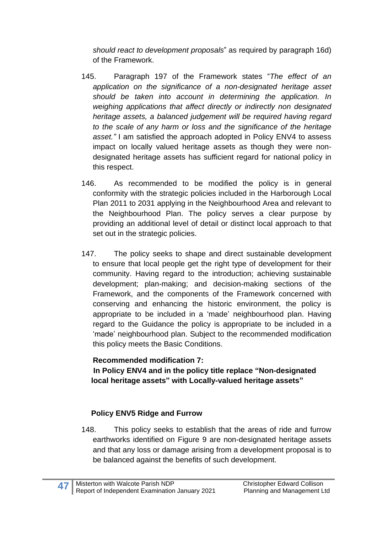*should react to development proposals*" as required by paragraph 16d) of the Framework.

- 145. Paragraph 197 of the Framework states "*The effect of an application on the significance of a non-designated heritage asset should be taken into account in determining the application. In weighing applications that affect directly or indirectly non designated heritage assets, a balanced judgement will be required having regard to the scale of any harm or loss and the significance of the heritage asset."* I am satisfied the approach adopted in Policy ENV4 to assess impact on locally valued heritage assets as though they were nondesignated heritage assets has sufficient regard for national policy in this respect.
- 146. As recommended to be modified the policy is in general conformity with the strategic policies included in the Harborough Local Plan 2011 to 2031 applying in the Neighbourhood Area and relevant to the Neighbourhood Plan. The policy serves a clear purpose by providing an additional level of detail or distinct local approach to that set out in the strategic policies.
- 147. The policy seeks to shape and direct sustainable development to ensure that local people get the right type of development for their community. Having regard to the introduction; achieving sustainable development; plan-making; and decision-making sections of the Framework, and the components of the Framework concerned with conserving and enhancing the historic environment, the policy is appropriate to be included in a 'made' neighbourhood plan. Having regard to the Guidance the policy is appropriate to be included in a 'made' neighbourhood plan. Subject to the recommended modification this policy meets the Basic Conditions.

#### **Recommended modification 7: In Policy ENV4 and in the policy title replace "Non-designated local heritage assets" with Locally-valued heritage assets"**

# **Policy ENV5 Ridge and Furrow**

148. This policy seeks to establish that the areas of ride and furrow earthworks identified on Figure 9 are non-designated heritage assets and that any loss or damage arising from a development proposal is to be balanced against the benefits of such development.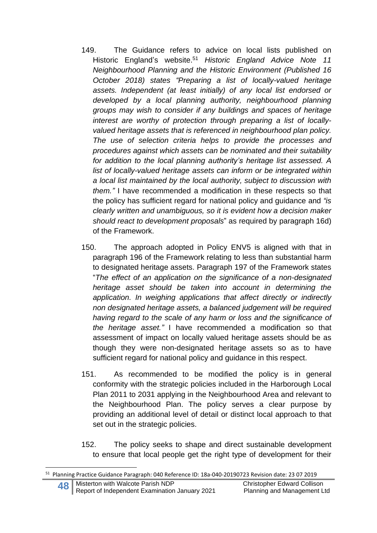- 149. The Guidance refers to advice on local lists published on Historic England's website. <sup>51</sup> *Historic England Advice Note 11 Neighbourhood Planning and the Historic Environment (Published 16 October 2018) states "Preparing a list of locally-valued heritage assets. Independent (at least initially) of any local list endorsed or developed by a local planning authority, neighbourhood planning groups may wish to consider if any buildings and spaces of heritage interest are worthy of protection through preparing a list of locallyvalued heritage assets that is referenced in neighbourhood plan policy. The use of selection criteria helps to provide the processes and procedures against which assets can be nominated and their suitability for addition to the local planning authority's heritage list assessed. A list of locally-valued heritage assets can inform or be integrated within a local list maintained by the local authority, subject to discussion with them."* I have recommended a modification in these respects so that the policy has sufficient regard for national policy and guidance and *"is clearly written and unambiguous, so it is evident how a decision maker should react to development proposals*" as required by paragraph 16d) of the Framework.
- 150. The approach adopted in Policy ENV5 is aligned with that in paragraph 196 of the Framework relating to less than substantial harm to designated heritage assets. Paragraph 197 of the Framework states "*The effect of an application on the significance of a non-designated heritage asset should be taken into account in determining the application. In weighing applications that affect directly or indirectly non designated heritage assets, a balanced judgement will be required having regard to the scale of any harm or loss and the significance of the heritage asset."* I have recommended a modification so that assessment of impact on locally valued heritage assets should be as though they were non-designated heritage assets so as to have sufficient regard for national policy and guidance in this respect.
- 151. As recommended to be modified the policy is in general conformity with the strategic policies included in the Harborough Local Plan 2011 to 2031 applying in the Neighbourhood Area and relevant to the Neighbourhood Plan. The policy serves a clear purpose by providing an additional level of detail or distinct local approach to that set out in the strategic policies.
- 152. The policy seeks to shape and direct sustainable development to ensure that local people get the right type of development for their

<sup>51</sup> Planning Practice Guidance Paragraph: 040 Reference ID: 18a-040-20190723 Revision date: 23 07 2019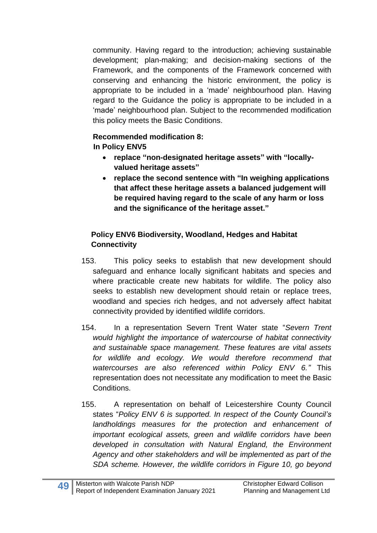community. Having regard to the introduction; achieving sustainable development; plan-making; and decision-making sections of the Framework, and the components of the Framework concerned with conserving and enhancing the historic environment, the policy is appropriate to be included in a 'made' neighbourhood plan. Having regard to the Guidance the policy is appropriate to be included in a 'made' neighbourhood plan. Subject to the recommended modification this policy meets the Basic Conditions.

# **Recommended modification 8:**

**In Policy ENV5**

- **replace "non-designated heritage assets" with "locallyvalued heritage assets"**
- **replace the second sentence with "In weighing applications that affect these heritage assets a balanced judgement will be required having regard to the scale of any harm or loss and the significance of the heritage asset."**

#### **Policy ENV6 Biodiversity, Woodland, Hedges and Habitat Connectivity**

- 153. This policy seeks to establish that new development should safeguard and enhance locally significant habitats and species and where practicable create new habitats for wildlife. The policy also seeks to establish new development should retain or replace trees, woodland and species rich hedges, and not adversely affect habitat connectivity provided by identified wildlife corridors.
- 154. In a representation Severn Trent Water state "*Severn Trent would highlight the importance of watercourse of habitat connectivity and sustainable space management. These features are vital assets for wildlife and ecology. We would therefore recommend that watercourses are also referenced within Policy ENV 6."* This representation does not necessitate any modification to meet the Basic Conditions.
- 155. A representation on behalf of Leicestershire County Council states "*Policy ENV 6 is supported. In respect of the County Council's landholdings measures for the protection and enhancement of important ecological assets, green and wildlife corridors have been developed in consultation with Natural England, the Environment Agency and other stakeholders and will be implemented as part of the SDA scheme. However, the wildlife corridors in Figure 10, go beyond*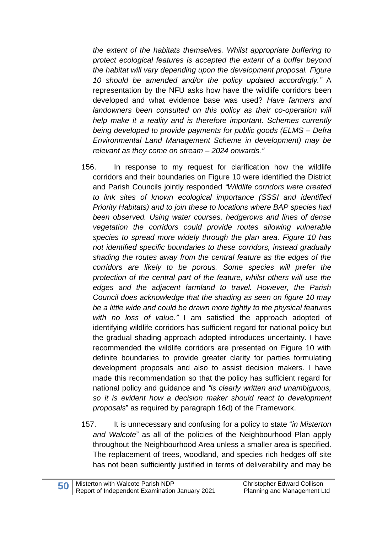*the extent of the habitats themselves. Whilst appropriate buffering to protect ecological features is accepted the extent of a buffer beyond the habitat will vary depending upon the development proposal. Figure 10 should be amended and/or the policy updated accordingly."* A representation by the NFU asks how have the wildlife corridors been developed and what evidence base was used? *Have farmers and landowners been consulted on this policy as their co-operation will help make it a reality and is therefore important. Schemes currently being developed to provide payments for public goods (ELMS – Defra Environmental Land Management Scheme in development) may be relevant as they come on stream – 2024 onwards."*

- 156. In response to my request for clarification how the wildlife corridors and their boundaries on Figure 10 were identified the District and Parish Councils jointly responded *"Wildlife corridors were created to link sites of known ecological importance (SSSI and identified Priority Habitats) and to join these to locations where BAP species had been observed. Using water courses, hedgerows and lines of dense vegetation the corridors could provide routes allowing vulnerable species to spread more widely through the plan area. Figure 10 has not identified specific boundaries to these corridors, instead gradually shading the routes away from the central feature as the edges of the corridors are likely to be porous. Some species will prefer the protection of the central part of the feature, whilst others will use the edges and the adjacent farmland to travel. However, the Parish Council does acknowledge that the shading as seen on figure 10 may be a little wide and could be drawn more tightly to the physical features with no loss of value."* I am satisfied the approach adopted of identifying wildlife corridors has sufficient regard for national policy but the gradual shading approach adopted introduces uncertainty. I have recommended the wildlife corridors are presented on Figure 10 with definite boundaries to provide greater clarity for parties formulating development proposals and also to assist decision makers. I have made this recommendation so that the policy has sufficient regard for national policy and guidance and *"is clearly written and unambiguous, so it is evident how a decision maker should react to development proposals*" as required by paragraph 16d) of the Framework.
- 157. It is unnecessary and confusing for a policy to state "*in Misterton and Walcote*" as all of the policies of the Neighbourhood Plan apply throughout the Neighbourhood Area unless a smaller area is specified. The replacement of trees, woodland, and species rich hedges off site has not been sufficiently justified in terms of deliverability and may be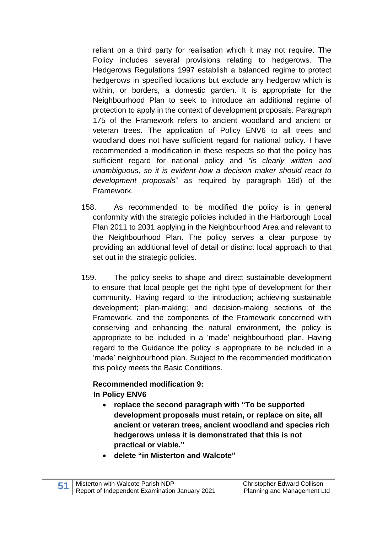reliant on a third party for realisation which it may not require. The Policy includes several provisions relating to hedgerows. The Hedgerows Regulations 1997 establish a balanced regime to protect hedgerows in specified locations but exclude any hedgerow which is within, or borders, a domestic garden. It is appropriate for the Neighbourhood Plan to seek to introduce an additional regime of protection to apply in the context of development proposals. Paragraph 175 of the Framework refers to ancient woodland and ancient or veteran trees. The application of Policy ENV6 to all trees and woodland does not have sufficient regard for national policy. I have recommended a modification in these respects so that the policy has sufficient regard for national policy and *"is clearly written and unambiguous, so it is evident how a decision maker should react to development proposals*" as required by paragraph 16d) of the Framework.

- 158. As recommended to be modified the policy is in general conformity with the strategic policies included in the Harborough Local Plan 2011 to 2031 applying in the Neighbourhood Area and relevant to the Neighbourhood Plan. The policy serves a clear purpose by providing an additional level of detail or distinct local approach to that set out in the strategic policies.
- 159. The policy seeks to shape and direct sustainable development to ensure that local people get the right type of development for their community. Having regard to the introduction; achieving sustainable development; plan-making; and decision-making sections of the Framework, and the components of the Framework concerned with conserving and enhancing the natural environment, the policy is appropriate to be included in a 'made' neighbourhood plan. Having regard to the Guidance the policy is appropriate to be included in a 'made' neighbourhood plan. Subject to the recommended modification this policy meets the Basic Conditions.

#### **Recommended modification 9: In Policy ENV6**

- **replace the second paragraph with "To be supported development proposals must retain, or replace on site, all ancient or veteran trees, ancient woodland and species rich hedgerows unless it is demonstrated that this is not practical or viable."**
- **delete "in Misterton and Walcote"**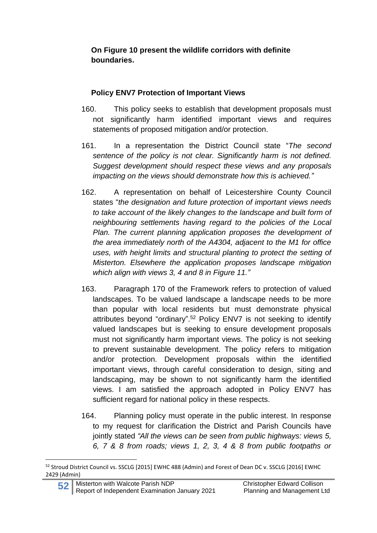**On Figure 10 present the wildlife corridors with definite boundaries.**

### **Policy ENV7 Protection of Important Views**

- 160. This policy seeks to establish that development proposals must not significantly harm identified important views and requires statements of proposed mitigation and/or protection.
- 161. In a representation the District Council state "*The second sentence of the policy is not clear. Significantly harm is not defined. Suggest development should respect these views and any proposals impacting on the views should demonstrate how this is achieved."*
- 162. A representation on behalf of Leicestershire County Council states "*the designation and future protection of important views needs to take account of the likely changes to the landscape and built form of neighbouring settlements having regard to the policies of the Local Plan. The current planning application proposes the development of the area immediately north of the A4304, adjacent to the M1 for office uses, with height limits and structural planting to protect the setting of Misterton. Elsewhere the application proposes landscape mitigation which align with views 3, 4 and 8 in Figure 11."*
- 163. Paragraph 170 of the Framework refers to protection of valued landscapes. To be valued landscape a landscape needs to be more than popular with local residents but must demonstrate physical attributes beyond "ordinary". <sup>52</sup> Policy ENV7 is not seeking to identify valued landscapes but is seeking to ensure development proposals must not significantly harm important views. The policy is not seeking to prevent sustainable development. The policy refers to mitigation and/or protection. Development proposals within the identified important views, through careful consideration to design, siting and landscaping, may be shown to not significantly harm the identified views. I am satisfied the approach adopted in Policy ENV7 has sufficient regard for national policy in these respects.
- 164. Planning policy must operate in the public interest. In response to my request for clarification the District and Parish Councils have jointly stated *"All the views can be seen from public highways: views 5, 6, 7 & 8 from roads; views 1, 2, 3, 4 & 8 from public footpaths or*

<sup>52</sup> Stroud District Council vs. SSCLG [2015] EWHC 488 (Admin) and Forest of Dean DC v. SSCLG [2016] EWHC 2429 (Admin)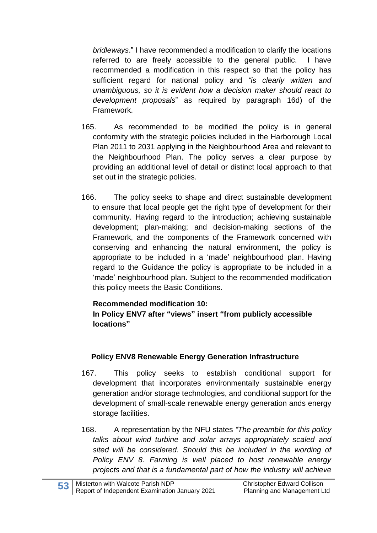*bridleways*." I have recommended a modification to clarify the locations referred to are freely accessible to the general public. I have recommended a modification in this respect so that the policy has sufficient regard for national policy and *"is clearly written and unambiguous, so it is evident how a decision maker should react to development proposals*" as required by paragraph 16d) of the Framework.

- 165. As recommended to be modified the policy is in general conformity with the strategic policies included in the Harborough Local Plan 2011 to 2031 applying in the Neighbourhood Area and relevant to the Neighbourhood Plan. The policy serves a clear purpose by providing an additional level of detail or distinct local approach to that set out in the strategic policies.
- 166. The policy seeks to shape and direct sustainable development to ensure that local people get the right type of development for their community. Having regard to the introduction; achieving sustainable development; plan-making; and decision-making sections of the Framework, and the components of the Framework concerned with conserving and enhancing the natural environment, the policy is appropriate to be included in a 'made' neighbourhood plan. Having regard to the Guidance the policy is appropriate to be included in a 'made' neighbourhood plan. Subject to the recommended modification this policy meets the Basic Conditions.

#### **Recommended modification 10:**

**In Policy ENV7 after "views" insert "from publicly accessible locations"**

#### **Policy ENV8 Renewable Energy Generation Infrastructure**

- 167. This policy seeks to establish conditional support for development that incorporates environmentally sustainable energy generation and/or storage technologies, and conditional support for the development of small-scale renewable energy generation ands energy storage facilities.
- 168. A representation by the NFU states *"The preamble for this policy talks about wind turbine and solar arrays appropriately scaled and sited will be considered. Should this be included in the wording of Policy ENV 8. Farming is well placed to host renewable energy projects and that is a fundamental part of how the industry will achieve*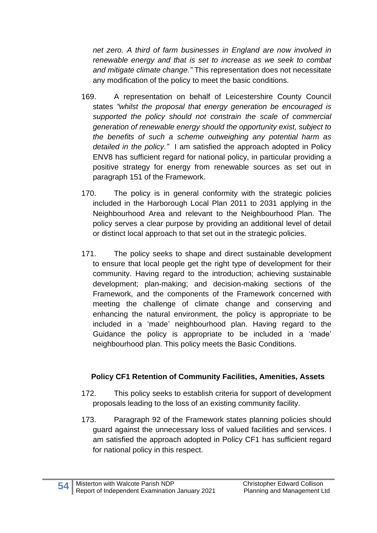*net zero. A third of farm businesses in England are now involved in renewable energy and that is set to increase as we seek to combat and mitigate climate change."* This representation does not necessitate any modification of the policy to meet the basic conditions.

- 169. A representation on behalf of Leicestershire County Council states *"whilst the proposal that energy generation be encouraged is supported the policy should not constrain the scale of commercial generation of renewable energy should the opportunity exist, subject to the benefits of such a scheme outweighing any potential harm as detailed in the policy."* I am satisfied the approach adopted in Policy ENV8 has sufficient regard for national policy, in particular providing a positive strategy for energy from renewable sources as set out in paragraph 151 of the Framework.
- 170. The policy is in general conformity with the strategic policies included in the Harborough Local Plan 2011 to 2031 applying in the Neighbourhood Area and relevant to the Neighbourhood Plan. The policy serves a clear purpose by providing an additional level of detail or distinct local approach to that set out in the strategic policies.
- 171. The policy seeks to shape and direct sustainable development to ensure that local people get the right type of development for their community. Having regard to the introduction; achieving sustainable development; plan-making; and decision-making sections of the Framework, and the components of the Framework concerned with meeting the challenge of climate change and conserving and enhancing the natural environment, the policy is appropriate to be included in a 'made' neighbourhood plan. Having regard to the Guidance the policy is appropriate to be included in a 'made' neighbourhood plan. This policy meets the Basic Conditions.

# **Policy CF1 Retention of Community Facilities, Amenities, Assets**

- 172. This policy seeks to establish criteria for support of development proposals leading to the loss of an existing community facility.
- 173. Paragraph 92 of the Framework states planning policies should guard against the unnecessary loss of valued facilities and services. I am satisfied the approach adopted in Policy CF1 has sufficient regard for national policy in this respect.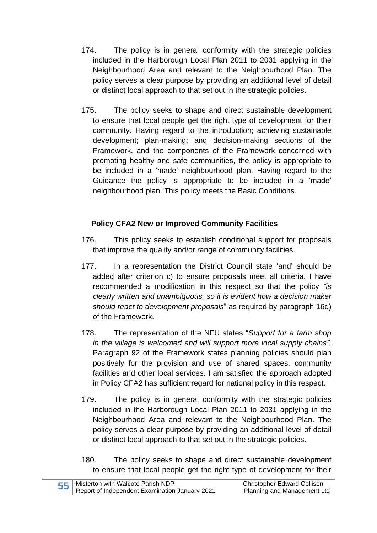- 174. The policy is in general conformity with the strategic policies included in the Harborough Local Plan 2011 to 2031 applying in the Neighbourhood Area and relevant to the Neighbourhood Plan. The policy serves a clear purpose by providing an additional level of detail or distinct local approach to that set out in the strategic policies.
- 175. The policy seeks to shape and direct sustainable development to ensure that local people get the right type of development for their community. Having regard to the introduction; achieving sustainable development; plan-making; and decision-making sections of the Framework, and the components of the Framework concerned with promoting healthy and safe communities, the policy is appropriate to be included in a 'made' neighbourhood plan. Having regard to the Guidance the policy is appropriate to be included in a 'made' neighbourhood plan. This policy meets the Basic Conditions.

# **Policy CFA2 New or Improved Community Facilities**

- 176. This policy seeks to establish conditional support for proposals that improve the quality and/or range of community facilities.
- 177. In a representation the District Council state 'and' should be added after criterion c) to ensure proposals meet all criteria. I have recommended a modification in this respect so that the policy *"is clearly written and unambiguous, so it is evident how a decision maker should react to development proposals*" as required by paragraph 16d) of the Framework.
- 178. The representation of the NFU states "*Support for a farm shop in the village is welcomed and will support more local supply chains".* Paragraph 92 of the Framework states planning policies should plan positively for the provision and use of shared spaces, community facilities and other local services. I am satisfied the approach adopted in Policy CFA2 has sufficient regard for national policy in this respect.
- 179. The policy is in general conformity with the strategic policies included in the Harborough Local Plan 2011 to 2031 applying in the Neighbourhood Area and relevant to the Neighbourhood Plan. The policy serves a clear purpose by providing an additional level of detail or distinct local approach to that set out in the strategic policies.
- 180. The policy seeks to shape and direct sustainable development to ensure that local people get the right type of development for their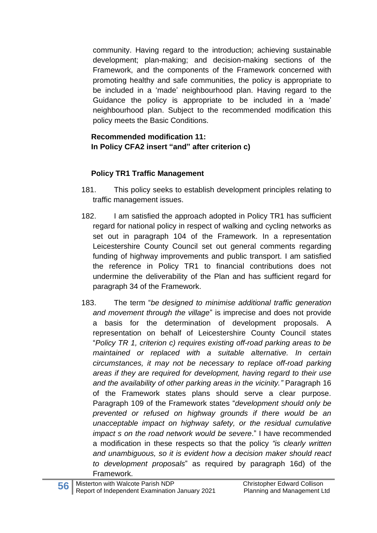community. Having regard to the introduction; achieving sustainable development; plan-making; and decision-making sections of the Framework, and the components of the Framework concerned with promoting healthy and safe communities, the policy is appropriate to be included in a 'made' neighbourhood plan. Having regard to the Guidance the policy is appropriate to be included in a 'made' neighbourhood plan. Subject to the recommended modification this policy meets the Basic Conditions.

#### **Recommended modification 11: In Policy CFA2 insert "and" after criterion c)**

# **Policy TR1 Traffic Management**

- 181. This policy seeks to establish development principles relating to traffic management issues.
- 182. I am satisfied the approach adopted in Policy TR1 has sufficient regard for national policy in respect of walking and cycling networks as set out in paragraph 104 of the Framework. In a representation Leicestershire County Council set out general comments regarding funding of highway improvements and public transport. I am satisfied the reference in Policy TR1 to financial contributions does not undermine the deliverability of the Plan and has sufficient regard for paragraph 34 of the Framework.
- 183. The term "*be designed to minimise additional traffic generation and movement through the village*" is imprecise and does not provide a basis for the determination of development proposals. A representation on behalf of Leicestershire County Council states "*Policy TR 1, criterion c) requires existing off-road parking areas to be maintained or replaced with a suitable alternative. In certain circumstances, it may not be necessary to replace off-road parking areas if they are required for development, having regard to their use and the availability of other parking areas in the vicinity."* Paragraph 16 of the Framework states plans should serve a clear purpose. Paragraph 109 of the Framework states "*development should only be prevented or refused on highway grounds if there would be an unacceptable impact on highway safety, or the residual cumulative impact s on the road network would be severe*." I have recommended a modification in these respects so that the policy *"is clearly written and unambiguous, so it is evident how a decision maker should react to development proposals*" as required by paragraph 16d) of the Framework.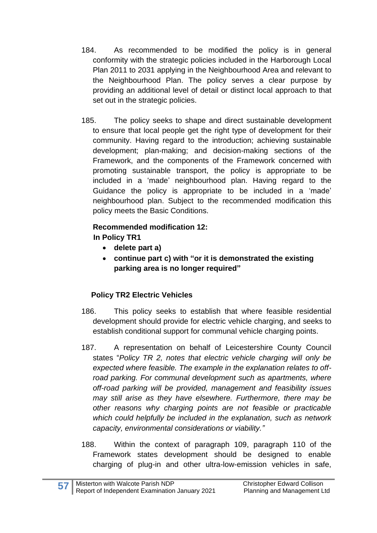- 184. As recommended to be modified the policy is in general conformity with the strategic policies included in the Harborough Local Plan 2011 to 2031 applying in the Neighbourhood Area and relevant to the Neighbourhood Plan. The policy serves a clear purpose by providing an additional level of detail or distinct local approach to that set out in the strategic policies.
- 185. The policy seeks to shape and direct sustainable development to ensure that local people get the right type of development for their community. Having regard to the introduction; achieving sustainable development; plan-making; and decision-making sections of the Framework, and the components of the Framework concerned with promoting sustainable transport, the policy is appropriate to be included in a 'made' neighbourhood plan. Having regard to the Guidance the policy is appropriate to be included in a 'made' neighbourhood plan. Subject to the recommended modification this policy meets the Basic Conditions.

#### **Recommended modification 12: In Policy TR1**

- **delete part a)**
- **continue part c) with "or it is demonstrated the existing parking area is no longer required"**

# **Policy TR2 Electric Vehicles**

- 186. This policy seeks to establish that where feasible residential development should provide for electric vehicle charging, and seeks to establish conditional support for communal vehicle charging points.
- 187. A representation on behalf of Leicestershire County Council states "*Policy TR 2, notes that electric vehicle charging will only be expected where feasible. The example in the explanation relates to offroad parking. For communal development such as apartments, where off-road parking will be provided, management and feasibility issues may still arise as they have elsewhere. Furthermore, there may be other reasons why charging points are not feasible or practicable which could helpfully be included in the explanation, such as network capacity, environmental considerations or viability."*
- 188. Within the context of paragraph 109, paragraph 110 of the Framework states development should be designed to enable charging of plug-in and other ultra-low-emission vehicles in safe,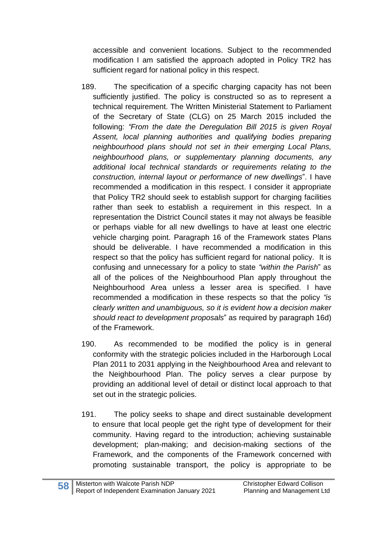accessible and convenient locations. Subject to the recommended modification I am satisfied the approach adopted in Policy TR2 has sufficient regard for national policy in this respect.

- 189. The specification of a specific charging capacity has not been sufficiently justified. The policy is constructed so as to represent a technical requirement. The Written Ministerial Statement to Parliament of the Secretary of State (CLG) on 25 March 2015 included the following: *"From the date the Deregulation Bill 2015 is given Royal Assent, local planning authorities and qualifying bodies preparing neighbourhood plans should not set in their emerging Local Plans, neighbourhood plans, or supplementary planning documents, any additional local technical standards or requirements relating to the construction, internal layout or performance of new dwellings*". I have recommended a modification in this respect. I consider it appropriate that Policy TR2 should seek to establish support for charging facilities rather than seek to establish a requirement in this respect. In a representation the District Council states it may not always be feasible or perhaps viable for all new dwellings to have at least one electric vehicle charging point. Paragraph 16 of the Framework states Plans should be deliverable. I have recommended a modification in this respect so that the policy has sufficient regard for national policy. It is confusing and unnecessary for a policy to state *"within the Parish*" as all of the polices of the Neighbourhood Plan apply throughout the Neighbourhood Area unless a lesser area is specified. I have recommended a modification in these respects so that the policy *"is clearly written and unambiguous, so it is evident how a decision maker should react to development proposals*" as required by paragraph 16d) of the Framework.
- 190. As recommended to be modified the policy is in general conformity with the strategic policies included in the Harborough Local Plan 2011 to 2031 applying in the Neighbourhood Area and relevant to the Neighbourhood Plan. The policy serves a clear purpose by providing an additional level of detail or distinct local approach to that set out in the strategic policies.
- 191. The policy seeks to shape and direct sustainable development to ensure that local people get the right type of development for their community. Having regard to the introduction; achieving sustainable development; plan-making; and decision-making sections of the Framework, and the components of the Framework concerned with promoting sustainable transport, the policy is appropriate to be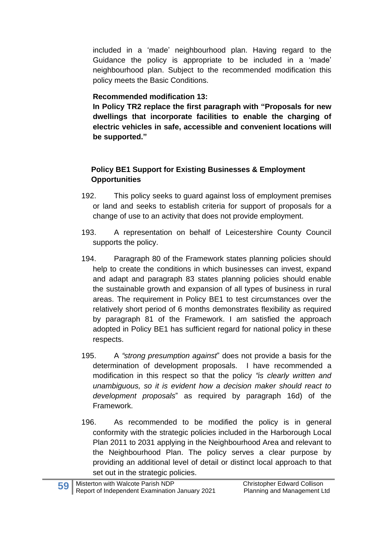included in a 'made' neighbourhood plan. Having regard to the Guidance the policy is appropriate to be included in a 'made' neighbourhood plan. Subject to the recommended modification this policy meets the Basic Conditions.

### **Recommended modification 13:**

**In Policy TR2 replace the first paragraph with "Proposals for new dwellings that incorporate facilities to enable the charging of electric vehicles in safe, accessible and convenient locations will be supported."**

#### **Policy BE1 Support for Existing Businesses & Employment Opportunities**

- 192. This policy seeks to guard against loss of employment premises or land and seeks to establish criteria for support of proposals for a change of use to an activity that does not provide employment.
- 193. A representation on behalf of Leicestershire County Council supports the policy.
- 194. Paragraph 80 of the Framework states planning policies should help to create the conditions in which businesses can invest, expand and adapt and paragraph 83 states planning policies should enable the sustainable growth and expansion of all types of business in rural areas. The requirement in Policy BE1 to test circumstances over the relatively short period of 6 months demonstrates flexibility as required by paragraph 81 of the Framework. I am satisfied the approach adopted in Policy BE1 has sufficient regard for national policy in these respects.
- 195. A *"strong presumption against*" does not provide a basis for the determination of development proposals. I have recommended a modification in this respect so that the policy *"is clearly written and unambiguous, so it is evident how a decision maker should react to development proposals*" as required by paragraph 16d) of the Framework.
- 196. As recommended to be modified the policy is in general conformity with the strategic policies included in the Harborough Local Plan 2011 to 2031 applying in the Neighbourhood Area and relevant to the Neighbourhood Plan. The policy serves a clear purpose by providing an additional level of detail or distinct local approach to that set out in the strategic policies.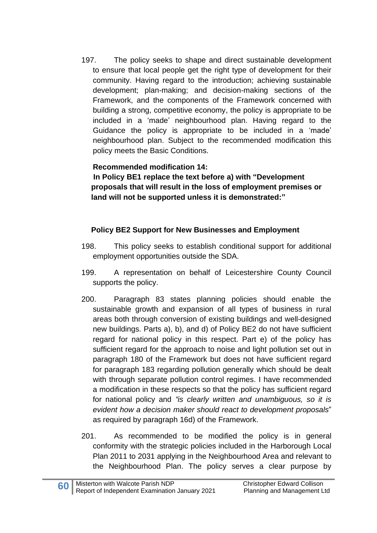197. The policy seeks to shape and direct sustainable development to ensure that local people get the right type of development for their community. Having regard to the introduction; achieving sustainable development; plan-making; and decision-making sections of the Framework, and the components of the Framework concerned with building a strong, competitive economy, the policy is appropriate to be included in a 'made' neighbourhood plan. Having regard to the Guidance the policy is appropriate to be included in a 'made' neighbourhood plan. Subject to the recommended modification this policy meets the Basic Conditions.

#### **Recommended modification 14:**

**In Policy BE1 replace the text before a) with "Development proposals that will result in the loss of employment premises or land will not be supported unless it is demonstrated:"**

#### **Policy BE2 Support for New Businesses and Employment**

- 198. This policy seeks to establish conditional support for additional employment opportunities outside the SDA.
- 199. A representation on behalf of Leicestershire County Council supports the policy.
- 200. Paragraph 83 states planning policies should enable the sustainable growth and expansion of all types of business in rural areas both through conversion of existing buildings and well-designed new buildings. Parts a), b), and d) of Policy BE2 do not have sufficient regard for national policy in this respect. Part e) of the policy has sufficient regard for the approach to noise and light pollution set out in paragraph 180 of the Framework but does not have sufficient regard for paragraph 183 regarding pollution generally which should be dealt with through separate pollution control regimes. I have recommended a modification in these respects so that the policy has sufficient regard for national policy and *"is clearly written and unambiguous, so it is evident how a decision maker should react to development proposals*" as required by paragraph 16d) of the Framework.
- 201. As recommended to be modified the policy is in general conformity with the strategic policies included in the Harborough Local Plan 2011 to 2031 applying in the Neighbourhood Area and relevant to the Neighbourhood Plan. The policy serves a clear purpose by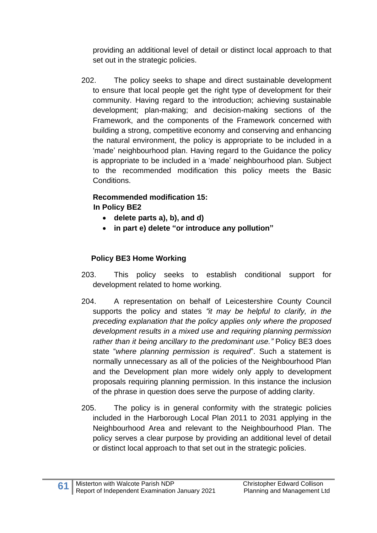providing an additional level of detail or distinct local approach to that set out in the strategic policies.

202. The policy seeks to shape and direct sustainable development to ensure that local people get the right type of development for their community. Having regard to the introduction; achieving sustainable development; plan-making; and decision-making sections of the Framework, and the components of the Framework concerned with building a strong, competitive economy and conserving and enhancing the natural environment, the policy is appropriate to be included in a 'made' neighbourhood plan. Having regard to the Guidance the policy is appropriate to be included in a 'made' neighbourhood plan. Subject to the recommended modification this policy meets the Basic Conditions.

# **Recommended modification 15: In Policy BE2**

- **delete parts a), b), and d)**
- **in part e) delete "or introduce any pollution"**

# **Policy BE3 Home Working**

- 203. This policy seeks to establish conditional support for development related to home working.
- 204. A representation on behalf of Leicestershire County Council supports the policy and states *"it may be helpful to clarify, in the preceding explanation that the policy applies only where the proposed development results in a mixed use and requiring planning permission rather than it being ancillary to the predominant use."* Policy BE3 does state "*where planning permission is required*". Such a statement is normally unnecessary as all of the policies of the Neighbourhood Plan and the Development plan more widely only apply to development proposals requiring planning permission. In this instance the inclusion of the phrase in question does serve the purpose of adding clarity.
- 205. The policy is in general conformity with the strategic policies included in the Harborough Local Plan 2011 to 2031 applying in the Neighbourhood Area and relevant to the Neighbourhood Plan. The policy serves a clear purpose by providing an additional level of detail or distinct local approach to that set out in the strategic policies.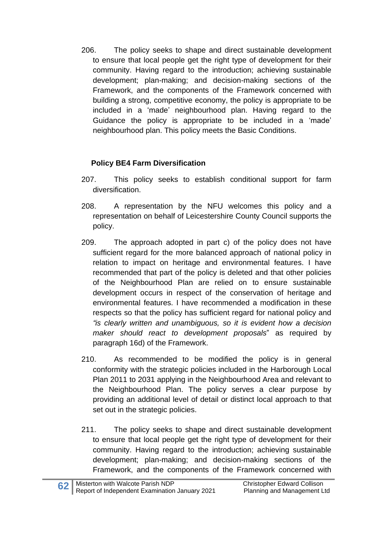206. The policy seeks to shape and direct sustainable development to ensure that local people get the right type of development for their community. Having regard to the introduction; achieving sustainable development; plan-making; and decision-making sections of the Framework, and the components of the Framework concerned with building a strong, competitive economy, the policy is appropriate to be included in a 'made' neighbourhood plan. Having regard to the Guidance the policy is appropriate to be included in a 'made' neighbourhood plan. This policy meets the Basic Conditions.

# **Policy BE4 Farm Diversification**

- 207. This policy seeks to establish conditional support for farm diversification.
- 208. A representation by the NFU welcomes this policy and a representation on behalf of Leicestershire County Council supports the policy.
- 209. The approach adopted in part c) of the policy does not have sufficient regard for the more balanced approach of national policy in relation to impact on heritage and environmental features. I have recommended that part of the policy is deleted and that other policies of the Neighbourhood Plan are relied on to ensure sustainable development occurs in respect of the conservation of heritage and environmental features. I have recommended a modification in these respects so that the policy has sufficient regard for national policy and *"is clearly written and unambiguous, so it is evident how a decision maker should react to development proposals*" as required by paragraph 16d) of the Framework.
- 210. As recommended to be modified the policy is in general conformity with the strategic policies included in the Harborough Local Plan 2011 to 2031 applying in the Neighbourhood Area and relevant to the Neighbourhood Plan. The policy serves a clear purpose by providing an additional level of detail or distinct local approach to that set out in the strategic policies.
- 211. The policy seeks to shape and direct sustainable development to ensure that local people get the right type of development for their community. Having regard to the introduction; achieving sustainable development; plan-making; and decision-making sections of the Framework, and the components of the Framework concerned with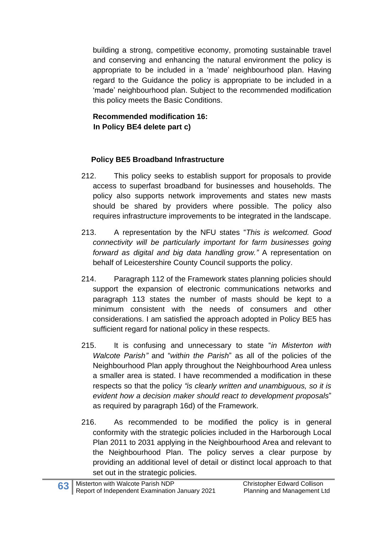building a strong, competitive economy, promoting sustainable travel and conserving and enhancing the natural environment the policy is appropriate to be included in a 'made' neighbourhood plan. Having regard to the Guidance the policy is appropriate to be included in a 'made' neighbourhood plan. Subject to the recommended modification this policy meets the Basic Conditions.

# **Recommended modification 16: In Policy BE4 delete part c)**

#### **Policy BE5 Broadband Infrastructure**

- 212. This policy seeks to establish support for proposals to provide access to superfast broadband for businesses and households. The policy also supports network improvements and states new masts should be shared by providers where possible. The policy also requires infrastructure improvements to be integrated in the landscape.
- 213. A representation by the NFU states "*This is welcomed. Good connectivity will be particularly important for farm businesses going forward as digital and big data handling grow."* A representation on behalf of Leicestershire County Council supports the policy.
- 214. Paragraph 112 of the Framework states planning policies should support the expansion of electronic communications networks and paragraph 113 states the number of masts should be kept to a minimum consistent with the needs of consumers and other considerations. I am satisfied the approach adopted in Policy BE5 has sufficient regard for national policy in these respects.
- 215. It is confusing and unnecessary to state "*in Misterton with Walcote Parish"* and "*within the Parish*" as all of the policies of the Neighbourhood Plan apply throughout the Neighbourhood Area unless a smaller area is stated. I have recommended a modification in these respects so that the policy *"is clearly written and unambiguous, so it is evident how a decision maker should react to development proposals*" as required by paragraph 16d) of the Framework.
- 216. As recommended to be modified the policy is in general conformity with the strategic policies included in the Harborough Local Plan 2011 to 2031 applying in the Neighbourhood Area and relevant to the Neighbourhood Plan. The policy serves a clear purpose by providing an additional level of detail or distinct local approach to that set out in the strategic policies.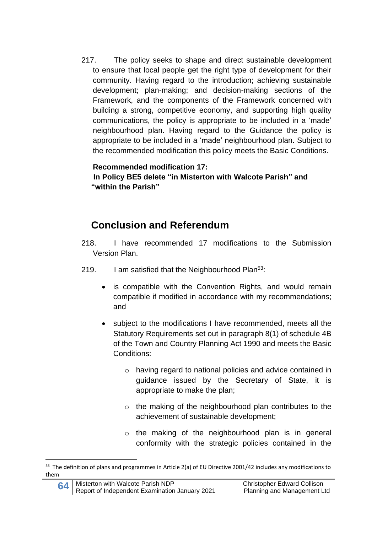217. The policy seeks to shape and direct sustainable development to ensure that local people get the right type of development for their community. Having regard to the introduction; achieving sustainable development; plan-making; and decision-making sections of the Framework, and the components of the Framework concerned with building a strong, competitive economy, and supporting high quality communications, the policy is appropriate to be included in a 'made' neighbourhood plan. Having regard to the Guidance the policy is appropriate to be included in a 'made' neighbourhood plan. Subject to the recommended modification this policy meets the Basic Conditions.

**Recommended modification 17: In Policy BE5 delete "in Misterton with Walcote Parish" and "within the Parish"**

# **Conclusion and Referendum**

- 218. I have recommended 17 modifications to the Submission Version Plan.
- 219. I am satisfied that the Neighbourhood Plan<sup>53</sup>:
	- is compatible with the Convention Rights, and would remain compatible if modified in accordance with my recommendations; and
	- subject to the modifications I have recommended, meets all the Statutory Requirements set out in paragraph 8(1) of schedule 4B of the Town and Country Planning Act 1990 and meets the Basic Conditions:
		- o having regard to national policies and advice contained in guidance issued by the Secretary of State, it is appropriate to make the plan;
		- o the making of the neighbourhood plan contributes to the achievement of sustainable development;
		- o the making of the neighbourhood plan is in general conformity with the strategic policies contained in the

<sup>53</sup> The definition of plans and programmes in Article 2(a) of EU Directive 2001/42 includes any modifications to them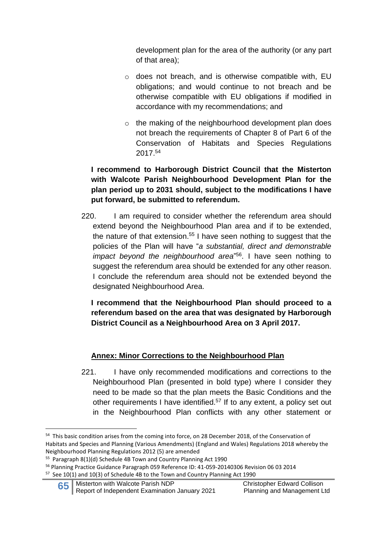development plan for the area of the authority (or any part of that area);

- o does not breach, and is otherwise compatible with, EU obligations; and would continue to not breach and be otherwise compatible with EU obligations if modified in accordance with my recommendations; and
- o the making of the neighbourhood development plan does not breach the requirements of Chapter 8 of Part 6 of the Conservation of Habitats and Species Regulations 2017. 54

#### **I recommend to Harborough District Council that the Misterton with Walcote Parish Neighbourhood Development Plan for the plan period up to 2031 should, subject to the modifications I have put forward, be submitted to referendum.**

220. I am required to consider whether the referendum area should extend beyond the Neighbourhood Plan area and if to be extended, the nature of that extension.<sup>55</sup> I have seen nothing to suggest that the policies of the Plan will have "*a substantial, direct and demonstrable impact beyond the neighbourhood area*" 56 . I have seen nothing to suggest the referendum area should be extended for any other reason. I conclude the referendum area should not be extended beyond the designated Neighbourhood Area.

**I recommend that the Neighbourhood Plan should proceed to a referendum based on the area that was designated by Harborough District Council as a Neighbourhood Area on 3 April 2017.**

#### **Annex: Minor Corrections to the Neighbourhood Plan**

221. I have only recommended modifications and corrections to the Neighbourhood Plan (presented in bold type) where I consider they need to be made so that the plan meets the Basic Conditions and the other requirements I have identified.<sup>57</sup> If to any extent, a policy set out in the Neighbourhood Plan conflicts with any other statement or

<sup>&</sup>lt;sup>54</sup> This basic condition arises from the coming into force, on 28 December 2018, of the Conservation of Habitats and Species and Planning (Various Amendments) (England and Wales) Regulations 2018 whereby the Neighbourhood Planning Regulations 2012 (5) are amended

<sup>&</sup>lt;sup>55</sup> Paragraph 8(1)(d) Schedule 4B Town and Country Planning Act 1990

<sup>56</sup> Planning Practice Guidance Paragraph 059 Reference ID: 41-059-20140306 Revision 06 03 2014 <sup>57</sup> See 10(1) and 10(3) of Schedule 4B to the Town and Country Planning Act 1990